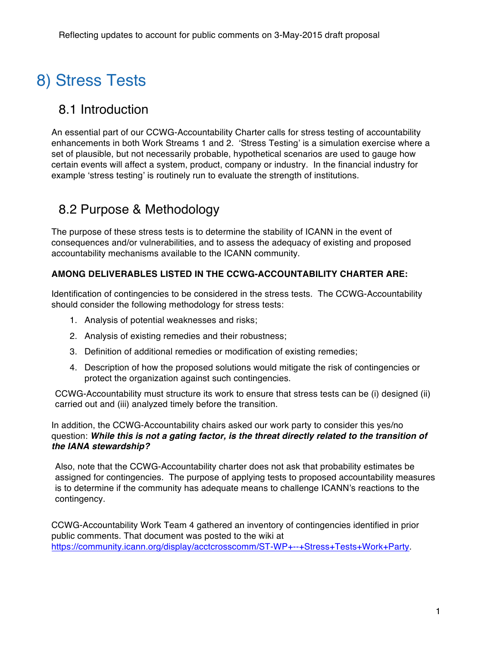# 8) Stress Tests

### 8.1 Introduction

An essential part of our CCWG-Accountability Charter calls for stress testing of accountability enhancements in both Work Streams 1 and 2. 'Stress Testing' is a simulation exercise where a set of plausible, but not necessarily probable, hypothetical scenarios are used to gauge how certain events will affect a system, product, company or industry. In the financial industry for example 'stress testing' is routinely run to evaluate the strength of institutions*.* 

### 8.2 Purpose & Methodology

The purpose of these stress tests is to determine the stability of ICANN in the event of consequences and/or vulnerabilities, and to assess the adequacy of existing and proposed accountability mechanisms available to the ICANN community.

#### **AMONG DELIVERABLES LISTED IN THE CCWG-ACCOUNTABILITY CHARTER ARE:**

Identification of contingencies to be considered in the stress tests. The CCWG-Accountability should consider the following methodology for stress tests:

- 1. Analysis of potential weaknesses and risks;
- 2. Analysis of existing remedies and their robustness;
- 3. Definition of additional remedies or modification of existing remedies;
- 4. Description of how the proposed solutions would mitigate the risk of contingencies or protect the organization against such contingencies.

CCWG-Accountability must structure its work to ensure that stress tests can be (i) designed (ii) carried out and (iii) analyzed timely before the transition.

In addition, the CCWG-Accountability chairs asked our work party to consider this yes/no question: *While this is not a gating factor, is the threat directly related to the transition of the IANA stewardship?*

Also, note that the CCWG-Accountability charter does not ask that probability estimates be assigned for contingencies. The purpose of applying tests to proposed accountability measures is to determine if the community has adequate means to challenge ICANN's reactions to the contingency.

CCWG-Accountability Work Team 4 gathered an inventory of contingencies identified in prior public comments. That document was posted to the wiki at https://community.icann.org/display/acctcrosscomm/ST-WP+--+Stress+Tests+Work+Party.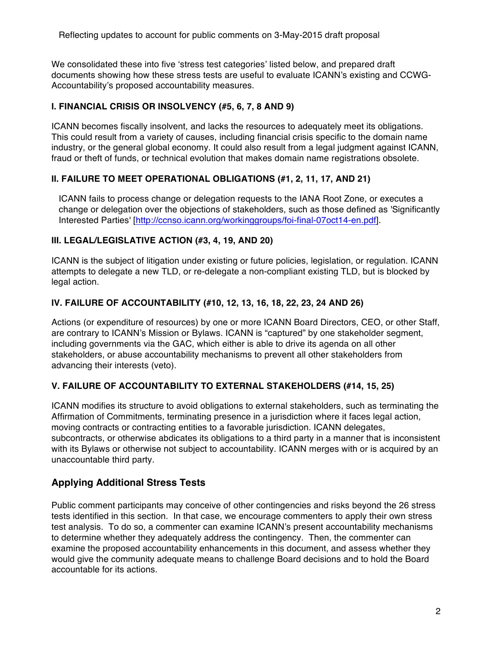We consolidated these into five 'stress test categories' listed below, and prepared draft documents showing how these stress tests are useful to evaluate ICANN's existing and CCWG-Accountability's proposed accountability measures.

#### **I. FINANCIAL CRISIS OR INSOLVENCY (#5, 6, 7, 8 AND 9)**

ICANN becomes fiscally insolvent, and lacks the resources to adequately meet its obligations. This could result from a variety of causes, including financial crisis specific to the domain name industry, or the general global economy. It could also result from a legal judgment against ICANN, fraud or theft of funds, or technical evolution that makes domain name registrations obsolete.

#### **II. FAILURE TO MEET OPERATIONAL OBLIGATIONS (#1, 2, 11, 17, AND 21)**

ICANN fails to process change or delegation requests to the IANA Root Zone, or executes a change or delegation over the objections of stakeholders, such as those defined as 'Significantly Interested Parties' [http://ccnso.icann.org/workinggroups/foi-final-07oct14-en.pdf].

#### **III. LEGAL/LEGISLATIVE ACTION (#3, 4, 19, AND 20)**

ICANN is the subject of litigation under existing or future policies, legislation, or regulation. ICANN attempts to delegate a new TLD, or re-delegate a non-compliant existing TLD, but is blocked by legal action.

#### **IV. FAILURE OF ACCOUNTABILITY (#10, 12, 13, 16, 18, 22, 23, 24 AND 26)**

Actions (or expenditure of resources) by one or more ICANN Board Directors, CEO, or other Staff, are contrary to ICANN's Mission or Bylaws. ICANN is "captured" by one stakeholder segment, including governments via the GAC, which either is able to drive its agenda on all other stakeholders, or abuse accountability mechanisms to prevent all other stakeholders from advancing their interests (veto).

#### **V. FAILURE OF ACCOUNTABILITY TO EXTERNAL STAKEHOLDERS (#14, 15, 25)**

ICANN modifies its structure to avoid obligations to external stakeholders, such as terminating the Affirmation of Commitments, terminating presence in a jurisdiction where it faces legal action, moving contracts or contracting entities to a favorable jurisdiction. ICANN delegates, subcontracts, or otherwise abdicates its obligations to a third party in a manner that is inconsistent with its Bylaws or otherwise not subject to accountability. ICANN merges with or is acquired by an unaccountable third party.

#### **Applying Additional Stress Tests**

Public comment participants may conceive of other contingencies and risks beyond the 26 stress tests identified in this section. In that case, we encourage commenters to apply their own stress test analysis. To do so, a commenter can examine ICANN's present accountability mechanisms to determine whether they adequately address the contingency. Then, the commenter can examine the proposed accountability enhancements in this document, and assess whether they would give the community adequate means to challenge Board decisions and to hold the Board accountable for its actions.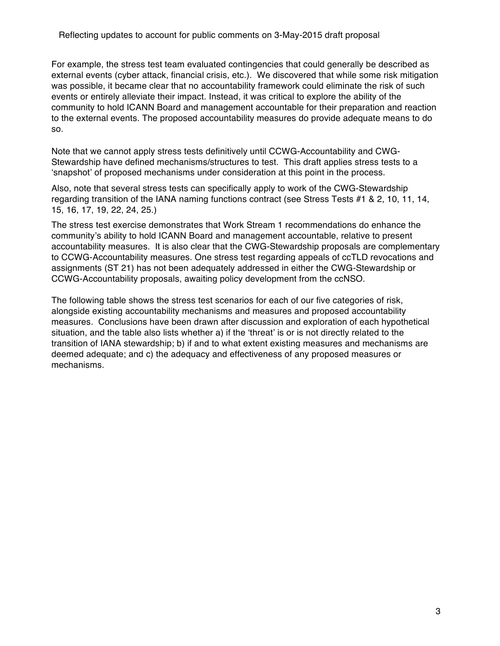For example, the stress test team evaluated contingencies that could generally be described as external events (cyber attack, financial crisis, etc.). We discovered that while some risk mitigation was possible, it became clear that no accountability framework could eliminate the risk of such events or entirely alleviate their impact. Instead, it was critical to explore the ability of the community to hold ICANN Board and management accountable for their preparation and reaction to the external events. The proposed accountability measures do provide adequate means to do so.

Note that we cannot apply stress tests definitively until CCWG-Accountability and CWG-Stewardship have defined mechanisms/structures to test. This draft applies stress tests to a 'snapshot' of proposed mechanisms under consideration at this point in the process.

Also, note that several stress tests can specifically apply to work of the CWG-Stewardship regarding transition of the IANA naming functions contract (see Stress Tests #1 & 2, 10, 11, 14, 15, 16, 17, 19, 22, 24, 25.)

The stress test exercise demonstrates that Work Stream 1 recommendations do enhance the community's ability to hold ICANN Board and management accountable, relative to present accountability measures. It is also clear that the CWG-Stewardship proposals are complementary to CCWG-Accountability measures. One stress test regarding appeals of ccTLD revocations and assignments (ST 21) has not been adequately addressed in either the CWG-Stewardship or CCWG-Accountability proposals, awaiting policy development from the ccNSO.

The following table shows the stress test scenarios for each of our five categories of risk, alongside existing accountability mechanisms and measures and proposed accountability measures. Conclusions have been drawn after discussion and exploration of each hypothetical situation, and the table also lists whether a) if the 'threat' is or is not directly related to the transition of IANA stewardship; b) if and to what extent existing measures and mechanisms are deemed adequate; and c) the adequacy and effectiveness of any proposed measures or mechanisms.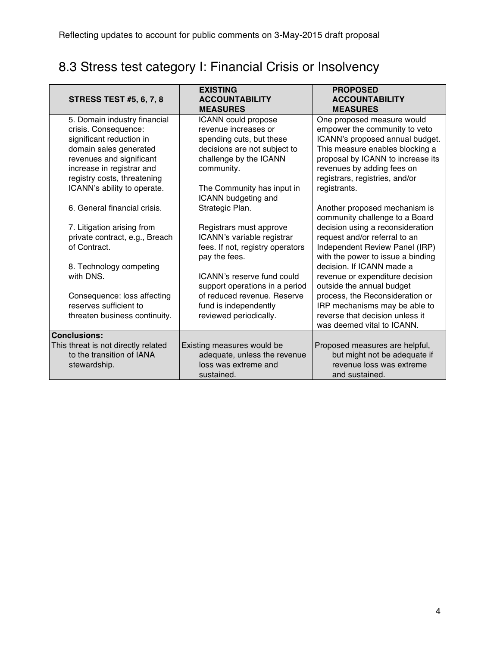## 8.3 Stress test category I: Financial Crisis or Insolvency

| <b>STRESS TEST #5, 6, 7, 8</b>      | <b>EXISTING</b><br><b>ACCOUNTABILITY</b><br><b>MEASURES</b> | <b>PROPOSED</b><br><b>ACCOUNTABILITY</b><br><b>MEASURES</b> |
|-------------------------------------|-------------------------------------------------------------|-------------------------------------------------------------|
| 5. Domain industry financial        | ICANN could propose                                         | One proposed measure would                                  |
| crisis. Consequence:                | revenue increases or                                        | empower the community to veto                               |
| significant reduction in            | spending cuts, but these                                    | ICANN's proposed annual budget.                             |
| domain sales generated              | decisions are not subject to                                | This measure enables blocking a                             |
| revenues and significant            | challenge by the ICANN                                      | proposal by ICANN to increase its                           |
| increase in registrar and           | community.                                                  | revenues by adding fees on                                  |
| registry costs, threatening         |                                                             | registrars, registries, and/or                              |
| ICANN's ability to operate.         | The Community has input in                                  | registrants.                                                |
|                                     | ICANN budgeting and                                         |                                                             |
| 6. General financial crisis.        | Strategic Plan.                                             | Another proposed mechanism is                               |
|                                     |                                                             | community challenge to a Board                              |
| 7. Litigation arising from          | Registrars must approve                                     | decision using a reconsideration                            |
| private contract, e.g., Breach      | ICANN's variable registrar                                  | request and/or referral to an                               |
| of Contract.                        | fees. If not, registry operators                            | Independent Review Panel (IRP)                              |
|                                     | pay the fees.                                               | with the power to issue a binding                           |
| 8. Technology competing             |                                                             | decision. If ICANN made a                                   |
| with DNS.                           | ICANN's reserve fund could                                  | revenue or expenditure decision                             |
|                                     | support operations in a period                              | outside the annual budget                                   |
| Consequence: loss affecting         | of reduced revenue. Reserve                                 | process, the Reconsideration or                             |
| reserves sufficient to              | fund is independently                                       | IRP mechanisms may be able to                               |
| threaten business continuity.       | reviewed periodically.                                      | reverse that decision unless it                             |
|                                     |                                                             | was deemed vital to ICANN.                                  |
| <b>Conclusions:</b>                 |                                                             |                                                             |
| This threat is not directly related | Existing measures would be                                  | Proposed measures are helpful,                              |
| to the transition of IANA           | adequate, unless the revenue                                | but might not be adequate if                                |
| stewardship.                        | loss was extreme and                                        | revenue loss was extreme                                    |
|                                     | sustained.                                                  | and sustained.                                              |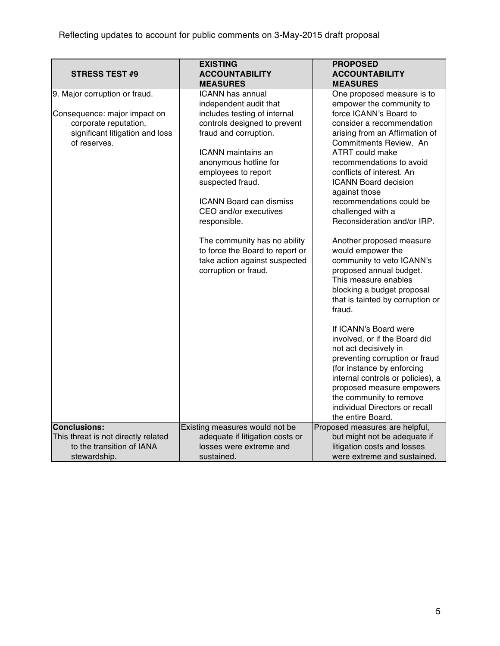| <b>STRESS TEST #9</b>                                                                                                                     | <b>EXISTING</b><br><b>ACCOUNTABILITY</b>                                                                                                                                                                                                                                                                                                                                                                                                                              | <b>PROPOSED</b><br><b>ACCOUNTABILITY</b>                                                                                                                                                                                                                                                                                                                                                                                                                                                                                                                                                                                                                                                                                                                                                                             |
|-------------------------------------------------------------------------------------------------------------------------------------------|-----------------------------------------------------------------------------------------------------------------------------------------------------------------------------------------------------------------------------------------------------------------------------------------------------------------------------------------------------------------------------------------------------------------------------------------------------------------------|----------------------------------------------------------------------------------------------------------------------------------------------------------------------------------------------------------------------------------------------------------------------------------------------------------------------------------------------------------------------------------------------------------------------------------------------------------------------------------------------------------------------------------------------------------------------------------------------------------------------------------------------------------------------------------------------------------------------------------------------------------------------------------------------------------------------|
|                                                                                                                                           |                                                                                                                                                                                                                                                                                                                                                                                                                                                                       |                                                                                                                                                                                                                                                                                                                                                                                                                                                                                                                                                                                                                                                                                                                                                                                                                      |
| 9. Major corruption or fraud.<br>Consequence: major impact on<br>corporate reputation,<br>significant litigation and loss<br>of reserves. | <b>MEASURES</b><br><b>ICANN has annual</b><br>independent audit that<br>includes testing of internal<br>controls designed to prevent<br>fraud and corruption.<br><b>ICANN</b> maintains an<br>anonymous hotline for<br>employees to report<br>suspected fraud.<br><b>ICANN Board can dismiss</b><br>CEO and/or executives<br>responsible.<br>The community has no ability<br>to force the Board to report or<br>take action against suspected<br>corruption or fraud. | <b>MEASURES</b><br>One proposed measure is to<br>empower the community to<br>force ICANN's Board to<br>consider a recommendation<br>arising from an Affirmation of<br>Commitments Review. An<br><b>ATRT could make</b><br>recommendations to avoid<br>conflicts of interest. An<br><b>ICANN Board decision</b><br>against those<br>recommendations could be<br>challenged with a<br>Reconsideration and/or IRP.<br>Another proposed measure<br>would empower the<br>community to veto ICANN's<br>proposed annual budget.<br>This measure enables<br>blocking a budget proposal<br>that is tainted by corruption or<br>fraud.<br>If ICANN's Board were<br>involved, or if the Board did<br>not act decisively in<br>preventing corruption or fraud<br>(for instance by enforcing<br>internal controls or policies), a |
|                                                                                                                                           |                                                                                                                                                                                                                                                                                                                                                                                                                                                                       | proposed measure empowers<br>the community to remove<br>individual Directors or recall<br>the entire Board.                                                                                                                                                                                                                                                                                                                                                                                                                                                                                                                                                                                                                                                                                                          |
| <b>Conclusions:</b>                                                                                                                       | Existing measures would not be                                                                                                                                                                                                                                                                                                                                                                                                                                        | Proposed measures are helpful,                                                                                                                                                                                                                                                                                                                                                                                                                                                                                                                                                                                                                                                                                                                                                                                       |
| This threat is not directly related<br>to the transition of IANA<br>stewardship.                                                          | adequate if litigation costs or<br>losses were extreme and<br>sustained.                                                                                                                                                                                                                                                                                                                                                                                              | but might not be adequate if<br>litigation costs and losses<br>were extreme and sustained.                                                                                                                                                                                                                                                                                                                                                                                                                                                                                                                                                                                                                                                                                                                           |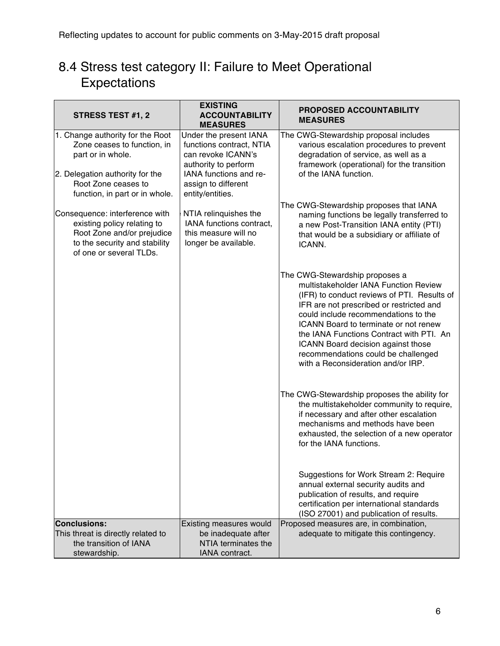### 8.4 Stress test category II: Failure to Meet Operational Expectations

| <b>STRESS TEST #1, 2</b>                                                                                                                                                         | <b>EXISTING</b><br><b>ACCOUNTABILITY</b><br><b>MEASURES</b>                                                                                                           | <b>PROPOSED ACCOUNTABILITY</b><br><b>MEASURES</b>                                                                                                                                                                                                                                                                                                                                                                  |
|----------------------------------------------------------------------------------------------------------------------------------------------------------------------------------|-----------------------------------------------------------------------------------------------------------------------------------------------------------------------|--------------------------------------------------------------------------------------------------------------------------------------------------------------------------------------------------------------------------------------------------------------------------------------------------------------------------------------------------------------------------------------------------------------------|
| 1. Change authority for the Root<br>Zone ceases to function, in<br>part or in whole.<br>2. Delegation authority for the<br>Root Zone ceases to<br>function, in part or in whole. | Under the present IANA<br>functions contract, NTIA<br>can revoke ICANN's<br>authority to perform<br>IANA functions and re-<br>assign to different<br>entity/entities. | The CWG-Stewardship proposal includes<br>various escalation procedures to prevent<br>degradation of service, as well as a<br>framework (operational) for the transition<br>of the IANA function.                                                                                                                                                                                                                   |
| Consequence: interference with<br>existing policy relating to<br>Root Zone and/or prejudice<br>to the security and stability<br>of one or several TLDs.                          | NTIA relinquishes the<br>IANA functions contract,<br>this measure will no<br>longer be available.                                                                     | The CWG-Stewardship proposes that IANA<br>naming functions be legally transferred to<br>a new Post-Transition IANA entity (PTI)<br>that would be a subsidiary or affiliate of<br>ICANN.                                                                                                                                                                                                                            |
|                                                                                                                                                                                  |                                                                                                                                                                       | The CWG-Stewardship proposes a<br>multistakeholder IANA Function Review<br>(IFR) to conduct reviews of PTI. Results of<br>IFR are not prescribed or restricted and<br>could include recommendations to the<br>ICANN Board to terminate or not renew<br>the IANA Functions Contract with PTI. An<br>ICANN Board decision against those<br>recommendations could be challenged<br>with a Reconsideration and/or IRP. |
|                                                                                                                                                                                  |                                                                                                                                                                       | The CWG-Stewardship proposes the ability for<br>the multistakeholder community to require,<br>if necessary and after other escalation<br>mechanisms and methods have been<br>exhausted, the selection of a new operator<br>for the IANA functions.                                                                                                                                                                 |
|                                                                                                                                                                                  |                                                                                                                                                                       | Suggestions for Work Stream 2: Require<br>annual external security audits and<br>publication of results, and require<br>certification per international standards<br>(ISO 27001) and publication of results.                                                                                                                                                                                                       |
| <b>Conclusions:</b><br>This threat is directly related to                                                                                                                        | Existing measures would<br>be inadequate after                                                                                                                        | Proposed measures are, in combination,<br>adequate to mitigate this contingency.                                                                                                                                                                                                                                                                                                                                   |
| the transition of IANA<br>stewardship.                                                                                                                                           | NTIA terminates the<br>IANA contract.                                                                                                                                 |                                                                                                                                                                                                                                                                                                                                                                                                                    |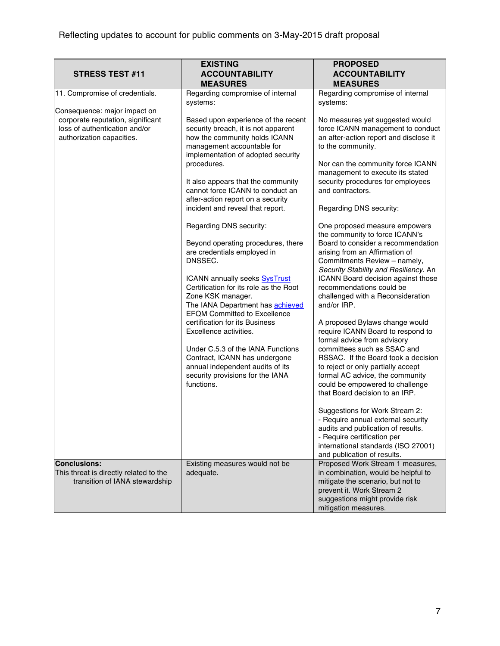|                                                                                                 | <b>EXISTING</b>                                                                                                                                                                                                                                                                                                                                                                                                                                                                                                   | <b>PROPOSED</b>                                                                                                                                                                                                                                                                                                                                                                                                                                                                                                                                                                                                                                                  |
|-------------------------------------------------------------------------------------------------|-------------------------------------------------------------------------------------------------------------------------------------------------------------------------------------------------------------------------------------------------------------------------------------------------------------------------------------------------------------------------------------------------------------------------------------------------------------------------------------------------------------------|------------------------------------------------------------------------------------------------------------------------------------------------------------------------------------------------------------------------------------------------------------------------------------------------------------------------------------------------------------------------------------------------------------------------------------------------------------------------------------------------------------------------------------------------------------------------------------------------------------------------------------------------------------------|
| <b>STRESS TEST #11</b>                                                                          | <b>ACCOUNTABILITY</b>                                                                                                                                                                                                                                                                                                                                                                                                                                                                                             | <b>ACCOUNTABILITY</b>                                                                                                                                                                                                                                                                                                                                                                                                                                                                                                                                                                                                                                            |
|                                                                                                 | <b>MEASURES</b>                                                                                                                                                                                                                                                                                                                                                                                                                                                                                                   | <b>MEASURES</b>                                                                                                                                                                                                                                                                                                                                                                                                                                                                                                                                                                                                                                                  |
| 11. Compromise of credentials.<br>Consequence: major impact on                                  | Regarding compromise of internal<br>systems:                                                                                                                                                                                                                                                                                                                                                                                                                                                                      | Regarding compromise of internal<br>systems:                                                                                                                                                                                                                                                                                                                                                                                                                                                                                                                                                                                                                     |
| corporate reputation, significant<br>loss of authentication and/or<br>authorization capacities. | Based upon experience of the recent<br>security breach, it is not apparent<br>how the community holds ICANN<br>management accountable for<br>implementation of adopted security<br>procedures.<br>It also appears that the community<br>cannot force ICANN to conduct an                                                                                                                                                                                                                                          | No measures yet suggested would<br>force ICANN management to conduct<br>an after-action report and disclose it<br>to the community.<br>Nor can the community force ICANN<br>management to execute its stated<br>security procedures for employees<br>and contractors.                                                                                                                                                                                                                                                                                                                                                                                            |
|                                                                                                 | after-action report on a security<br>incident and reveal that report.                                                                                                                                                                                                                                                                                                                                                                                                                                             | Regarding DNS security:                                                                                                                                                                                                                                                                                                                                                                                                                                                                                                                                                                                                                                          |
|                                                                                                 | Regarding DNS security:<br>Beyond operating procedures, there<br>are credentials employed in<br>DNSSEC.<br>ICANN annually seeks SysTrust<br>Certification for its role as the Root<br>Zone KSK manager.<br>The IANA Department has <b>achieved</b><br><b>EFQM Committed to Excellence</b><br>certification for its Business<br>Excellence activities.<br>Under C.5.3 of the IANA Functions<br>Contract, ICANN has undergone<br>annual independent audits of its<br>security provisions for the IANA<br>functions. | One proposed measure empowers<br>the community to force ICANN's<br>Board to consider a recommendation<br>arising from an Affirmation of<br>Commitments Review - namely,<br>Security Stability and Resiliency. An<br>ICANN Board decision against those<br>recommendations could be<br>challenged with a Reconsideration<br>and/or IRP.<br>A proposed Bylaws change would<br>require ICANN Board to respond to<br>formal advice from advisory<br>committees such as SSAC and<br>RSSAC. If the Board took a decision<br>to reject or only partially accept<br>formal AC advice, the community<br>could be empowered to challenge<br>that Board decision to an IRP. |
|                                                                                                 |                                                                                                                                                                                                                                                                                                                                                                                                                                                                                                                   | Suggestions for Work Stream 2:<br>- Require annual external security<br>audits and publication of results.<br>- Require certification per<br>international standards (ISO 27001)<br>and publication of results.                                                                                                                                                                                                                                                                                                                                                                                                                                                  |
| <b>Conclusions:</b><br>This threat is directly related to the<br>transition of IANA stewardship | Existing measures would not be<br>adequate.                                                                                                                                                                                                                                                                                                                                                                                                                                                                       | Proposed Work Stream 1 measures,<br>in combination, would be helpful to<br>mitigate the scenario, but not to<br>prevent it. Work Stream 2<br>suggestions might provide risk<br>mitigation measures.                                                                                                                                                                                                                                                                                                                                                                                                                                                              |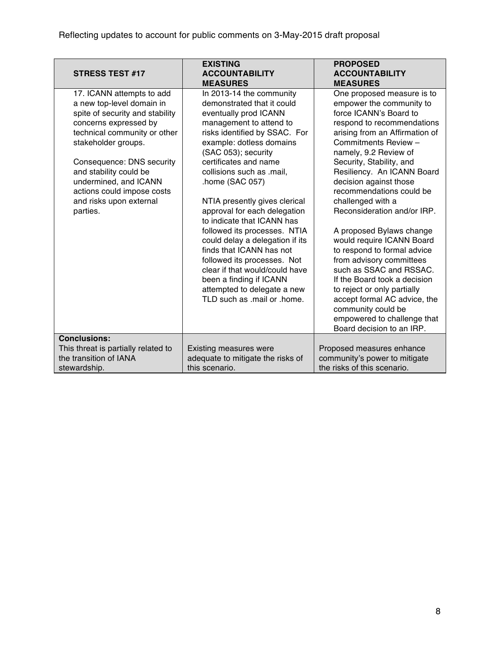| <b>STRESS TEST #17</b>                                                                                                                                                                                                                                                                                                         | <b>EXISTING</b><br><b>ACCOUNTABILITY</b><br><b>MEASURES</b>                                                                                                                                                                                                                                                                                                                                                                                                                                                                                                                                                                     | <b>PROPOSED</b><br><b>ACCOUNTABILITY</b><br><b>MEASURES</b>                                                                                                                                                                                                                                                                                                                                                                                                                                                                                                                                                                                                                                           |
|--------------------------------------------------------------------------------------------------------------------------------------------------------------------------------------------------------------------------------------------------------------------------------------------------------------------------------|---------------------------------------------------------------------------------------------------------------------------------------------------------------------------------------------------------------------------------------------------------------------------------------------------------------------------------------------------------------------------------------------------------------------------------------------------------------------------------------------------------------------------------------------------------------------------------------------------------------------------------|-------------------------------------------------------------------------------------------------------------------------------------------------------------------------------------------------------------------------------------------------------------------------------------------------------------------------------------------------------------------------------------------------------------------------------------------------------------------------------------------------------------------------------------------------------------------------------------------------------------------------------------------------------------------------------------------------------|
| 17. ICANN attempts to add<br>a new top-level domain in<br>spite of security and stability<br>concerns expressed by<br>technical community or other<br>stakeholder groups.<br>Consequence: DNS security<br>and stability could be<br>undermined, and ICANN<br>actions could impose costs<br>and risks upon external<br>parties. | In 2013-14 the community<br>demonstrated that it could<br>eventually prod ICANN<br>management to attend to<br>risks identified by SSAC. For<br>example: dotless domains<br>(SAC 053); security<br>certificates and name<br>collisions such as .mail,<br>.home (SAC 057)<br>NTIA presently gives clerical<br>approval for each delegation<br>to indicate that ICANN has<br>followed its processes. NTIA<br>could delay a delegation if its<br>finds that ICANN has not<br>followed its processes. Not<br>clear if that would/could have<br>been a finding if ICANN<br>attempted to delegate a new<br>TLD such as .mail or .home. | One proposed measure is to<br>empower the community to<br>force ICANN's Board to<br>respond to recommendations<br>arising from an Affirmation of<br>Commitments Review -<br>namely, 9.2 Review of<br>Security, Stability, and<br>Resiliency. An ICANN Board<br>decision against those<br>recommendations could be<br>challenged with a<br>Reconsideration and/or IRP.<br>A proposed Bylaws change<br>would require ICANN Board<br>to respond to formal advice<br>from advisory committees<br>such as SSAC and RSSAC.<br>If the Board took a decision<br>to reject or only partially<br>accept formal AC advice, the<br>community could be<br>empowered to challenge that<br>Board decision to an IRP. |
| <b>Conclusions:</b><br>This threat is partially related to                                                                                                                                                                                                                                                                     | <b>Existing measures were</b>                                                                                                                                                                                                                                                                                                                                                                                                                                                                                                                                                                                                   | Proposed measures enhance                                                                                                                                                                                                                                                                                                                                                                                                                                                                                                                                                                                                                                                                             |
| the transition of IANA<br>stewardship.                                                                                                                                                                                                                                                                                         | adequate to mitigate the risks of<br>this scenario.                                                                                                                                                                                                                                                                                                                                                                                                                                                                                                                                                                             | community's power to mitigate<br>the risks of this scenario.                                                                                                                                                                                                                                                                                                                                                                                                                                                                                                                                                                                                                                          |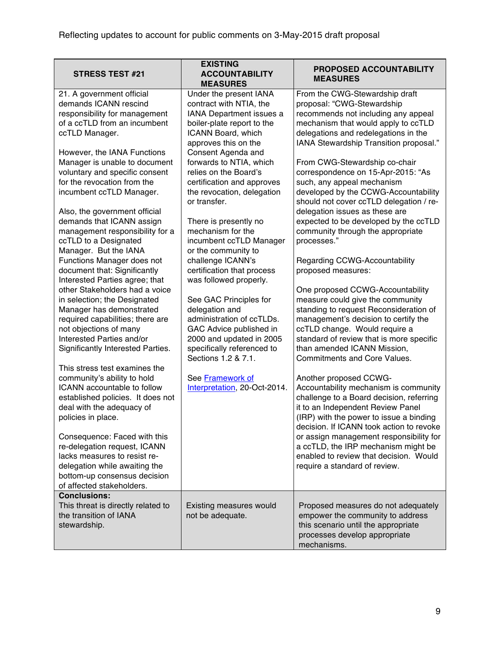| <b>STRESS TEST #21</b>                                                                                                                                                                                                                                                                                                                                                                                                                                                                                                                                                                                                                                                                                                                                                                                                                                                                                                                                                                                                                                                                                                                             | <b>EXISTING</b><br><b>ACCOUNTABILITY</b><br><b>MEASURES</b>                                                                                                                                                                                                                                                                                                                                                                                                                                                                                                                                                                                                                                                                           | PROPOSED ACCOUNTABILITY<br><b>MEASURES</b>                                                                                                                                                                                                                                                                                                                                                                                                                                                                                                                                                                                                                                                                                                                                                                                                                                                                                                                                                                                                                                                                                                                                                                                                                                                                                      |
|----------------------------------------------------------------------------------------------------------------------------------------------------------------------------------------------------------------------------------------------------------------------------------------------------------------------------------------------------------------------------------------------------------------------------------------------------------------------------------------------------------------------------------------------------------------------------------------------------------------------------------------------------------------------------------------------------------------------------------------------------------------------------------------------------------------------------------------------------------------------------------------------------------------------------------------------------------------------------------------------------------------------------------------------------------------------------------------------------------------------------------------------------|---------------------------------------------------------------------------------------------------------------------------------------------------------------------------------------------------------------------------------------------------------------------------------------------------------------------------------------------------------------------------------------------------------------------------------------------------------------------------------------------------------------------------------------------------------------------------------------------------------------------------------------------------------------------------------------------------------------------------------------|---------------------------------------------------------------------------------------------------------------------------------------------------------------------------------------------------------------------------------------------------------------------------------------------------------------------------------------------------------------------------------------------------------------------------------------------------------------------------------------------------------------------------------------------------------------------------------------------------------------------------------------------------------------------------------------------------------------------------------------------------------------------------------------------------------------------------------------------------------------------------------------------------------------------------------------------------------------------------------------------------------------------------------------------------------------------------------------------------------------------------------------------------------------------------------------------------------------------------------------------------------------------------------------------------------------------------------|
| 21. A government official<br>demands ICANN rescind<br>responsibility for management<br>of a ccTLD from an incumbent<br>ccTLD Manager.<br>However, the IANA Functions<br>Manager is unable to document<br>voluntary and specific consent<br>for the revocation from the<br>incumbent ccTLD Manager.<br>Also, the government official<br>demands that ICANN assign<br>management responsibility for a<br>ccTLD to a Designated<br>Manager. But the IANA<br>Functions Manager does not<br>document that: Significantly<br>Interested Parties agree; that<br>other Stakeholders had a voice<br>in selection; the Designated<br>Manager has demonstrated<br>required capabilities; there are<br>not objections of many<br>Interested Parties and/or<br>Significantly Interested Parties.<br>This stress test examines the<br>community's ability to hold<br><b>ICANN</b> accountable to follow<br>established policies. It does not<br>deal with the adequacy of<br>policies in place.<br>Consequence: Faced with this<br>re-delegation request, ICANN<br>lacks measures to resist re-<br>delegation while awaiting the<br>bottom-up consensus decision | Under the present IANA<br>contract with NTIA, the<br>IANA Department issues a<br>boiler-plate report to the<br>ICANN Board, which<br>approves this on the<br>Consent Agenda and<br>forwards to NTIA, which<br>relies on the Board's<br>certification and approves<br>the revocation, delegation<br>or transfer.<br>There is presently no<br>mechanism for the<br>incumbent ccTLD Manager<br>or the community to<br>challenge ICANN's<br>certification that process<br>was followed properly.<br>See GAC Principles for<br>delegation and<br>administration of ccTLDs.<br>GAC Advice published in<br>2000 and updated in 2005<br>specifically referenced to<br>Sections 1.2 & 7.1.<br>See Framework of<br>Interpretation, 20-Oct-2014. | From the CWG-Stewardship draft<br>proposal: "CWG-Stewardship<br>recommends not including any appeal<br>mechanism that would apply to ccTLD<br>delegations and redelegations in the<br>IANA Stewardship Transition proposal."<br>From CWG-Stewardship co-chair<br>correspondence on 15-Apr-2015: "As<br>such, any appeal mechanism<br>developed by the CCWG-Accountability<br>should not cover ccTLD delegation / re-<br>delegation issues as these are<br>expected to be developed by the ccTLD<br>community through the appropriate<br>processes."<br>Regarding CCWG-Accountability<br>proposed measures:<br>One proposed CCWG-Accountability<br>measure could give the community<br>standing to request Reconsideration of<br>management's decision to certify the<br>ccTLD change. Would require a<br>standard of review that is more specific<br>than amended ICANN Mission,<br><b>Commitments and Core Values.</b><br>Another proposed CCWG-<br>Accountability mechanism is community<br>challenge to a Board decision, referring<br>it to an Independent Review Panel<br>(IRP) with the power to issue a binding<br>decision. If ICANN took action to revoke<br>or assign management responsibility for<br>a ccTLD, the IRP mechanism might be<br>enabled to review that decision. Would<br>require a standard of review. |
| of affected stakeholders.<br><b>Conclusions:</b><br>This threat is directly related to<br>the transition of IANA<br>stewardship.                                                                                                                                                                                                                                                                                                                                                                                                                                                                                                                                                                                                                                                                                                                                                                                                                                                                                                                                                                                                                   | Existing measures would<br>not be adequate.                                                                                                                                                                                                                                                                                                                                                                                                                                                                                                                                                                                                                                                                                           | Proposed measures do not adequately<br>empower the community to address<br>this scenario until the appropriate<br>processes develop appropriate                                                                                                                                                                                                                                                                                                                                                                                                                                                                                                                                                                                                                                                                                                                                                                                                                                                                                                                                                                                                                                                                                                                                                                                 |
|                                                                                                                                                                                                                                                                                                                                                                                                                                                                                                                                                                                                                                                                                                                                                                                                                                                                                                                                                                                                                                                                                                                                                    |                                                                                                                                                                                                                                                                                                                                                                                                                                                                                                                                                                                                                                                                                                                                       | mechanisms.                                                                                                                                                                                                                                                                                                                                                                                                                                                                                                                                                                                                                                                                                                                                                                                                                                                                                                                                                                                                                                                                                                                                                                                                                                                                                                                     |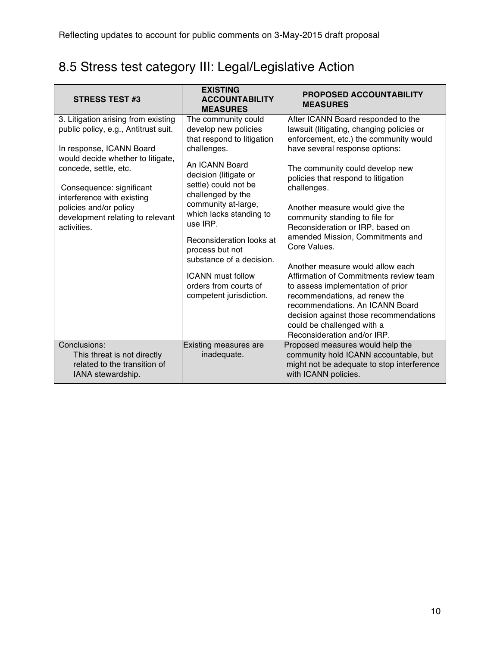## 8.5 Stress test category III: Legal/Legislative Action

| <b>STRESS TEST #3</b>                                                                                                                                                                                                           | <b>EXISTING</b><br><b>ACCOUNTABILITY</b><br><b>MEASURES</b>                                                                                                                                             | <b>PROPOSED ACCOUNTABILITY</b><br><b>MEASURES</b>                                                                                                                                                                                                                                                                                                                                                                                                      |
|---------------------------------------------------------------------------------------------------------------------------------------------------------------------------------------------------------------------------------|---------------------------------------------------------------------------------------------------------------------------------------------------------------------------------------------------------|--------------------------------------------------------------------------------------------------------------------------------------------------------------------------------------------------------------------------------------------------------------------------------------------------------------------------------------------------------------------------------------------------------------------------------------------------------|
| 3. Litigation arising from existing<br>public policy, e.g., Antitrust suit.<br>In response, ICANN Board<br>would decide whether to litigate,<br>concede, settle, etc.<br>Consequence: significant<br>interference with existing | The community could<br>develop new policies<br>that respond to litigation<br>challenges.<br>An ICANN Board<br>decision (litigate or<br>settle) could not be<br>challenged by the<br>community at-large, | After ICANN Board responded to the<br>lawsuit (litigating, changing policies or<br>enforcement, etc.) the community would<br>have several response options:<br>The community could develop new<br>policies that respond to litigation<br>challenges.                                                                                                                                                                                                   |
| policies and/or policy<br>development relating to relevant<br>activities.                                                                                                                                                       | which lacks standing to<br>use IRP.<br>Reconsideration looks at<br>process but not<br>substance of a decision.<br><b>ICANN</b> must follow<br>orders from courts of<br>competent jurisdiction.          | Another measure would give the<br>community standing to file for<br>Reconsideration or IRP, based on<br>amended Mission, Commitments and<br>Core Values.<br>Another measure would allow each<br>Affirmation of Commitments review team<br>to assess implementation of prior<br>recommendations, ad renew the<br>recommendations. An ICANN Board<br>decision against those recommendations<br>could be challenged with a<br>Reconsideration and/or IRP. |
| Conclusions:<br>This threat is not directly<br>related to the transition of<br>IANA stewardship.                                                                                                                                | Existing measures are<br>inadequate.                                                                                                                                                                    | Proposed measures would help the<br>community hold ICANN accountable, but<br>might not be adequate to stop interference<br>with ICANN policies.                                                                                                                                                                                                                                                                                                        |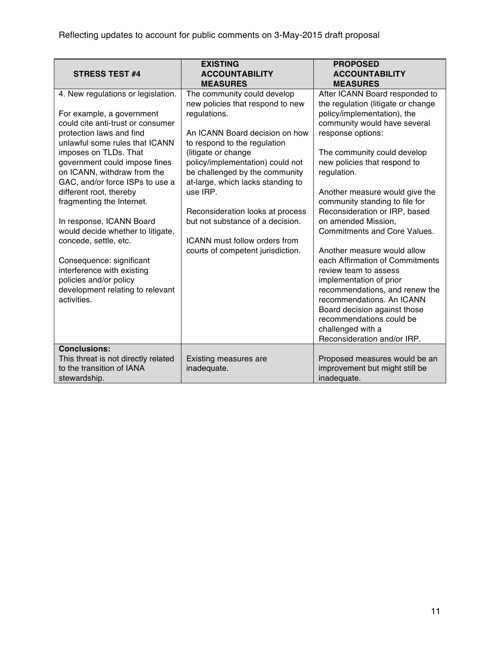| <b>STRESS TEST #4</b>                                                                                                                                                                                                                                                                                                                                                                                                                                                                                                                                                                   | <b>EXISTING</b><br><b>ACCOUNTABILITY</b><br><b>MEASURES</b>                                                                                                                                                                                                                                                                                                                                                                                   | <b>PROPOSED</b><br><b>ACCOUNTABILITY</b><br><b>MEASURES</b>                                                                                                                                                                                                                                                                                                                                                                                                                                                                                                                                                                                                                                                    |
|-----------------------------------------------------------------------------------------------------------------------------------------------------------------------------------------------------------------------------------------------------------------------------------------------------------------------------------------------------------------------------------------------------------------------------------------------------------------------------------------------------------------------------------------------------------------------------------------|-----------------------------------------------------------------------------------------------------------------------------------------------------------------------------------------------------------------------------------------------------------------------------------------------------------------------------------------------------------------------------------------------------------------------------------------------|----------------------------------------------------------------------------------------------------------------------------------------------------------------------------------------------------------------------------------------------------------------------------------------------------------------------------------------------------------------------------------------------------------------------------------------------------------------------------------------------------------------------------------------------------------------------------------------------------------------------------------------------------------------------------------------------------------------|
| 4. New regulations or legislation.<br>For example, a government<br>could cite anti-trust or consumer<br>protection laws and find<br>unlawful some rules that ICANN<br>imposes on TLDs. That<br>government could impose fines<br>on ICANN, withdraw from the<br>GAC, and/or force ISPs to use a<br>different root, thereby<br>fragmenting the Internet.<br>In response, ICANN Board<br>would decide whether to litigate,<br>concede, settle, etc.<br>Consequence: significant<br>interference with existing<br>policies and/or policy<br>development relating to relevant<br>activities. | The community could develop<br>new policies that respond to new<br>regulations.<br>An ICANN Board decision on how<br>to respond to the regulation<br>(litigate or change<br>policy/implementation) could not<br>be challenged by the community<br>at-large, which lacks standing to<br>use IRP.<br>Reconsideration looks at process<br>but not substance of a decision.<br>ICANN must follow orders from<br>courts of competent jurisdiction. | After ICANN Board responded to<br>the regulation (litigate or change<br>policy/implementation), the<br>community would have several<br>response options:<br>The community could develop<br>new policies that respond to<br>regulation.<br>Another measure would give the<br>community standing to file for<br>Reconsideration or IRP, based<br>on amended Mission,<br><b>Commitments and Core Values.</b><br>Another measure would allow<br>each Affirmation of Commitments<br>review team to assess<br>implementation of prior<br>recommendations, and renew the<br>recommendations. An ICANN<br>Board decision against those<br>recommendations could be<br>challenged with a<br>Reconsideration and/or IRP. |
| <b>Conclusions:</b><br>This threat is not directly related<br>to the transition of IANA<br>stewardship.                                                                                                                                                                                                                                                                                                                                                                                                                                                                                 | Existing measures are<br>inadequate.                                                                                                                                                                                                                                                                                                                                                                                                          | Proposed measures would be an<br>improvement but might still be<br>inadequate.                                                                                                                                                                                                                                                                                                                                                                                                                                                                                                                                                                                                                                 |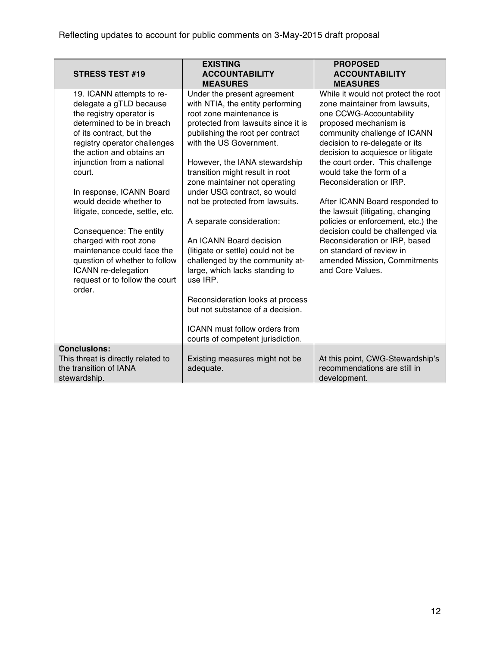| <b>STRESS TEST #19</b>                                    | <b>EXISTING</b><br><b>ACCOUNTABILITY</b><br><b>MEASURES</b>  | <b>PROPOSED</b><br><b>ACCOUNTABILITY</b><br><b>MEASURES</b> |
|-----------------------------------------------------------|--------------------------------------------------------------|-------------------------------------------------------------|
| 19. ICANN attempts to re-                                 | Under the present agreement                                  | While it would not protect the root                         |
| delegate a gTLD because                                   | with NTIA, the entity performing                             | zone maintainer from lawsuits,                              |
| the registry operator is                                  | root zone maintenance is                                     | one CCWG-Accountability                                     |
| determined to be in breach                                | protected from lawsuits since it is                          | proposed mechanism is<br>community challenge of ICANN       |
| of its contract, but the<br>registry operator challenges  | publishing the root per contract<br>with the US Government.  | decision to re-delegate or its                              |
| the action and obtains an                                 |                                                              | decision to acquiesce or litigate                           |
| injunction from a national                                | However, the IANA stewardship                                | the court order. This challenge                             |
| court.                                                    | transition might result in root                              | would take the form of a                                    |
|                                                           | zone maintainer not operating                                | Reconsideration or IRP.                                     |
| In response, ICANN Board                                  | under USG contract, so would                                 |                                                             |
| would decide whether to                                   | not be protected from lawsuits.                              | After ICANN Board responded to                              |
| litigate, concede, settle, etc.                           |                                                              | the lawsuit (litigating, changing                           |
|                                                           | A separate consideration:                                    | policies or enforcement, etc.) the                          |
| Consequence: The entity                                   |                                                              | decision could be challenged via                            |
| charged with root zone<br>maintenance could face the      | An ICANN Board decision<br>(litigate or settle) could not be | Reconsideration or IRP, based<br>on standard of review in   |
| question of whether to follow                             | challenged by the community at-                              | amended Mission, Commitments                                |
| ICANN re-delegation                                       | large, which lacks standing to                               | and Core Values.                                            |
| request or to follow the court                            | use IRP.                                                     |                                                             |
| order.                                                    |                                                              |                                                             |
|                                                           | Reconsideration looks at process                             |                                                             |
|                                                           | but not substance of a decision.                             |                                                             |
|                                                           |                                                              |                                                             |
|                                                           | ICANN must follow orders from                                |                                                             |
|                                                           | courts of competent jurisdiction.                            |                                                             |
| <b>Conclusions:</b><br>This threat is directly related to | Existing measures might not be                               | At this point, CWG-Stewardship's                            |
| the transition of IANA                                    | adequate.                                                    | recommendations are still in                                |
| stewardship.                                              |                                                              | development.                                                |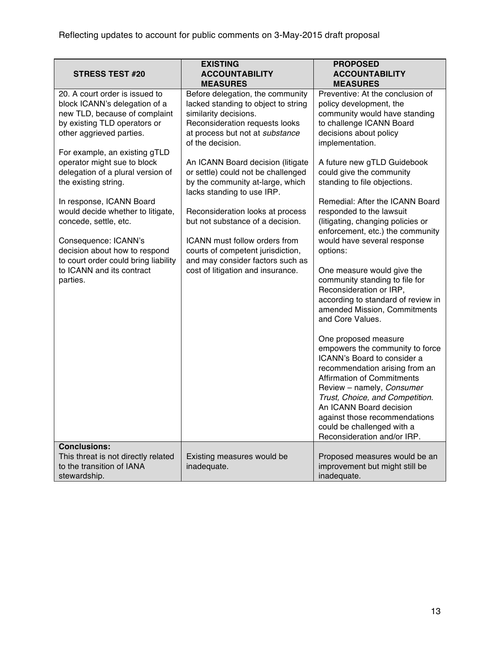| <b>STRESS TEST #20</b>                                                                                                                                                                                                                                                                                                                                                              | <b>EXISTING</b><br><b>ACCOUNTABILITY</b><br><b>MEASURES</b>                                                                                                                                                                                                                                                                                                                                                    | <b>PROPOSED</b><br><b>ACCOUNTABILITY</b><br><b>MEASURES</b>                                                                                                                                                                                                                                                                                                                                                                                                                                                                                             |
|-------------------------------------------------------------------------------------------------------------------------------------------------------------------------------------------------------------------------------------------------------------------------------------------------------------------------------------------------------------------------------------|----------------------------------------------------------------------------------------------------------------------------------------------------------------------------------------------------------------------------------------------------------------------------------------------------------------------------------------------------------------------------------------------------------------|---------------------------------------------------------------------------------------------------------------------------------------------------------------------------------------------------------------------------------------------------------------------------------------------------------------------------------------------------------------------------------------------------------------------------------------------------------------------------------------------------------------------------------------------------------|
| 20. A court order is issued to<br>block ICANN's delegation of a<br>new TLD, because of complaint<br>by existing TLD operators or<br>other aggrieved parties.<br>For example, an existing gTLD<br>operator might sue to block<br>delegation of a plural version of<br>the existing string.<br>In response, ICANN Board<br>would decide whether to litigate,<br>concede, settle, etc. | Before delegation, the community<br>lacked standing to object to string<br>similarity decisions.<br>Reconsideration requests looks<br>at process but not at substance<br>of the decision.<br>An ICANN Board decision (litigate<br>or settle) could not be challenged<br>by the community at-large, which<br>lacks standing to use IRP.<br>Reconsideration looks at process<br>but not substance of a decision. | Preventive: At the conclusion of<br>policy development, the<br>community would have standing<br>to challenge ICANN Board<br>decisions about policy<br>implementation.<br>A future new gTLD Guidebook<br>could give the community<br>standing to file objections.<br>Remedial: After the ICANN Board<br>responded to the lawsuit<br>(litigating, changing policies or<br>enforcement, etc.) the community                                                                                                                                                |
| Consequence: ICANN's<br>decision about how to respond<br>to court order could bring liability<br>to ICANN and its contract<br>parties.                                                                                                                                                                                                                                              | ICANN must follow orders from<br>courts of competent jurisdiction,<br>and may consider factors such as<br>cost of litigation and insurance.                                                                                                                                                                                                                                                                    | would have several response<br>options:<br>One measure would give the<br>community standing to file for<br>Reconsideration or IRP,<br>according to standard of review in<br>amended Mission, Commitments<br>and Core Values.<br>One proposed measure<br>empowers the community to force<br>ICANN's Board to consider a<br>recommendation arising from an<br><b>Affirmation of Commitments</b><br>Review - namely, Consumer<br>Trust, Choice, and Competition.<br>An ICANN Board decision<br>against those recommendations<br>could be challenged with a |
| <b>Conclusions:</b><br>This threat is not directly related                                                                                                                                                                                                                                                                                                                          | Existing measures would be                                                                                                                                                                                                                                                                                                                                                                                     | Reconsideration and/or IRP.<br>Proposed measures would be an                                                                                                                                                                                                                                                                                                                                                                                                                                                                                            |
| to the transition of IANA<br>stewardship.                                                                                                                                                                                                                                                                                                                                           | inadequate.                                                                                                                                                                                                                                                                                                                                                                                                    | improvement but might still be<br>inadequate.                                                                                                                                                                                                                                                                                                                                                                                                                                                                                                           |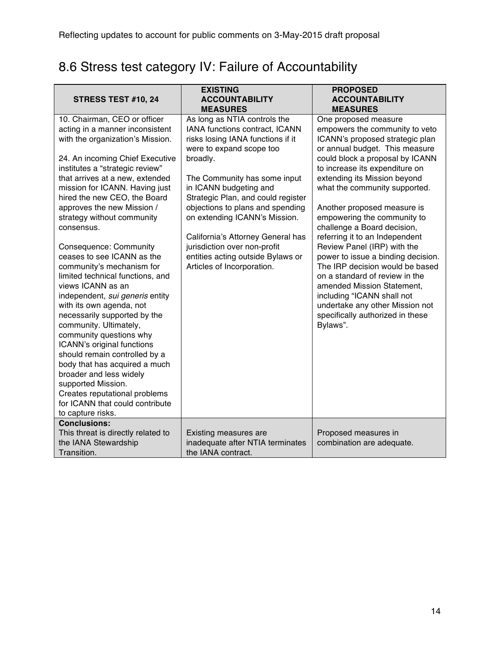# 8.6 Stress test category IV: Failure of Accountability

| <b>STRESS TEST #10, 24</b>                                                                                                                                                                                                                                                                                                                                                                                                                                                                                                                                                                                                                                                                                                                                                                                                                                                                           | <b>EXISTING</b><br><b>ACCOUNTABILITY</b><br><b>MEASURES</b>                                                                                                                                                                                                                                                                                                                                                                                              | <b>PROPOSED</b><br><b>ACCOUNTABILITY</b><br><b>MEASURES</b>                                                                                                                                                                                                                                                                                                                                                                                                                                                                                                                                                                                                                               |
|------------------------------------------------------------------------------------------------------------------------------------------------------------------------------------------------------------------------------------------------------------------------------------------------------------------------------------------------------------------------------------------------------------------------------------------------------------------------------------------------------------------------------------------------------------------------------------------------------------------------------------------------------------------------------------------------------------------------------------------------------------------------------------------------------------------------------------------------------------------------------------------------------|----------------------------------------------------------------------------------------------------------------------------------------------------------------------------------------------------------------------------------------------------------------------------------------------------------------------------------------------------------------------------------------------------------------------------------------------------------|-------------------------------------------------------------------------------------------------------------------------------------------------------------------------------------------------------------------------------------------------------------------------------------------------------------------------------------------------------------------------------------------------------------------------------------------------------------------------------------------------------------------------------------------------------------------------------------------------------------------------------------------------------------------------------------------|
| 10. Chairman, CEO or officer<br>acting in a manner inconsistent<br>with the organization's Mission.<br>24. An incoming Chief Executive<br>institutes a "strategic review"<br>that arrives at a new, extended<br>mission for ICANN. Having just<br>hired the new CEO, the Board<br>approves the new Mission /<br>strategy without community<br>consensus.<br>Consequence: Community<br>ceases to see ICANN as the<br>community's mechanism for<br>limited technical functions, and<br>views ICANN as an<br>independent, sui generis entity<br>with its own agenda, not<br>necessarily supported by the<br>community. Ultimately,<br>community questions why<br>ICANN's original functions<br>should remain controlled by a<br>body that has acquired a much<br>broader and less widely<br>supported Mission.<br>Creates reputational problems<br>for ICANN that could contribute<br>to capture risks. | As long as NTIA controls the<br>IANA functions contract, ICANN<br>risks losing IANA functions if it<br>were to expand scope too<br>broadly.<br>The Community has some input<br>in ICANN budgeting and<br>Strategic Plan, and could register<br>objections to plans and spending<br>on extending ICANN's Mission.<br>California's Attorney General has<br>jurisdiction over non-profit<br>entities acting outside Bylaws or<br>Articles of Incorporation. | One proposed measure<br>empowers the community to veto<br>ICANN's proposed strategic plan<br>or annual budget. This measure<br>could block a proposal by ICANN<br>to increase its expenditure on<br>extending its Mission beyond<br>what the community supported.<br>Another proposed measure is<br>empowering the community to<br>challenge a Board decision,<br>referring it to an Independent<br>Review Panel (IRP) with the<br>power to issue a binding decision.<br>The IRP decision would be based<br>on a standard of review in the<br>amended Mission Statement,<br>including "ICANN shall not<br>undertake any other Mission not<br>specifically authorized in these<br>Bylaws". |
| <b>Conclusions:</b><br>This threat is directly related to<br>the IANA Stewardship<br>Transition.                                                                                                                                                                                                                                                                                                                                                                                                                                                                                                                                                                                                                                                                                                                                                                                                     | Existing measures are<br>inadequate after NTIA terminates<br>the IANA contract.                                                                                                                                                                                                                                                                                                                                                                          | Proposed measures in<br>combination are adequate.                                                                                                                                                                                                                                                                                                                                                                                                                                                                                                                                                                                                                                         |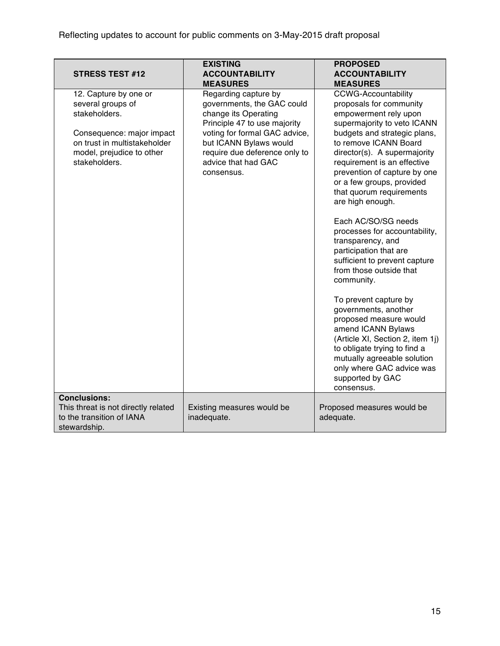| <b>STRESS TEST #12</b>                                                                                                                                                 | <b>EXISTING</b><br><b>ACCOUNTABILITY</b><br><b>MEASURES</b>                                                                                                                                                                                 | <b>PROPOSED</b><br><b>ACCOUNTABILITY</b><br><b>MEASURES</b>                                                                                                                                                                                                                                                                                                                                                                                                                                                                                                                          |
|------------------------------------------------------------------------------------------------------------------------------------------------------------------------|---------------------------------------------------------------------------------------------------------------------------------------------------------------------------------------------------------------------------------------------|--------------------------------------------------------------------------------------------------------------------------------------------------------------------------------------------------------------------------------------------------------------------------------------------------------------------------------------------------------------------------------------------------------------------------------------------------------------------------------------------------------------------------------------------------------------------------------------|
| 12. Capture by one or<br>several groups of<br>stakeholders.<br>Consequence: major impact<br>on trust in multistakeholder<br>model, prejudice to other<br>stakeholders. | Regarding capture by<br>governments, the GAC could<br>change its Operating<br>Principle 47 to use majority<br>voting for formal GAC advice,<br>but ICANN Bylaws would<br>require due deference only to<br>advice that had GAC<br>consensus. | <b>CCWG-Accountability</b><br>proposals for community<br>empowerment rely upon<br>supermajority to veto ICANN<br>budgets and strategic plans,<br>to remove ICANN Board<br>director(s). A supermajority<br>requirement is an effective<br>prevention of capture by one<br>or a few groups, provided<br>that quorum requirements<br>are high enough.<br>Each AC/SO/SG needs<br>processes for accountability,<br>transparency, and<br>participation that are<br>sufficient to prevent capture<br>from those outside that<br>community.<br>To prevent capture by<br>governments, another |
|                                                                                                                                                                        |                                                                                                                                                                                                                                             | proposed measure would<br>amend ICANN Bylaws<br>(Article XI, Section 2, item 1j)<br>to obligate trying to find a<br>mutually agreeable solution<br>only where GAC advice was<br>supported by GAC<br>consensus.                                                                                                                                                                                                                                                                                                                                                                       |
| <b>Conclusions:</b>                                                                                                                                                    |                                                                                                                                                                                                                                             |                                                                                                                                                                                                                                                                                                                                                                                                                                                                                                                                                                                      |
| This threat is not directly related<br>to the transition of IANA<br>stewardship.                                                                                       | Existing measures would be<br>inadequate.                                                                                                                                                                                                   | Proposed measures would be<br>adequate.                                                                                                                                                                                                                                                                                                                                                                                                                                                                                                                                              |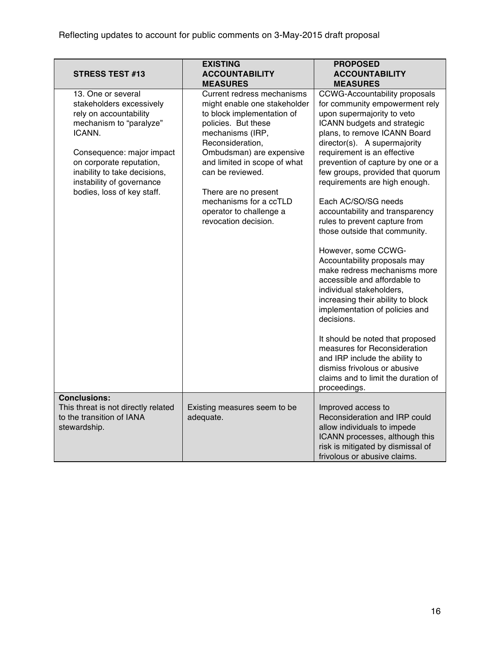| <b>STRESS TEST #13</b>                                                                                                                                                                                                                                            | <b>EXISTING</b><br><b>ACCOUNTABILITY</b><br><b>MEASURES</b>                                                                                                                                                                                                                                                                                  | <b>PROPOSED</b><br><b>ACCOUNTABILITY</b><br><b>MEASURES</b>                                                                                                                                                                                                                                                                                                                                                                                                                                                                                                                                                                                                                                                                                                                                                                                                                                                   |
|-------------------------------------------------------------------------------------------------------------------------------------------------------------------------------------------------------------------------------------------------------------------|----------------------------------------------------------------------------------------------------------------------------------------------------------------------------------------------------------------------------------------------------------------------------------------------------------------------------------------------|---------------------------------------------------------------------------------------------------------------------------------------------------------------------------------------------------------------------------------------------------------------------------------------------------------------------------------------------------------------------------------------------------------------------------------------------------------------------------------------------------------------------------------------------------------------------------------------------------------------------------------------------------------------------------------------------------------------------------------------------------------------------------------------------------------------------------------------------------------------------------------------------------------------|
| 13. One or several<br>stakeholders excessively<br>rely on accountability<br>mechanism to "paralyze"<br>ICANN.<br>Consequence: major impact<br>on corporate reputation,<br>inability to take decisions,<br>instability of governance<br>bodies, loss of key staff. | Current redress mechanisms<br>might enable one stakeholder<br>to block implementation of<br>policies. But these<br>mechanisms (IRP,<br>Reconsideration,<br>Ombudsman) are expensive<br>and limited in scope of what<br>can be reviewed.<br>There are no present<br>mechanisms for a ccTLD<br>operator to challenge a<br>revocation decision. | <b>CCWG-Accountability proposals</b><br>for community empowerment rely<br>upon supermajority to veto<br>ICANN budgets and strategic<br>plans, to remove ICANN Board<br>director(s). A supermajority<br>requirement is an effective<br>prevention of capture by one or a<br>few groups, provided that quorum<br>requirements are high enough.<br>Each AC/SO/SG needs<br>accountability and transparency<br>rules to prevent capture from<br>those outside that community.<br>However, some CCWG-<br>Accountability proposals may<br>make redress mechanisms more<br>accessible and affordable to<br>individual stakeholders,<br>increasing their ability to block<br>implementation of policies and<br>decisions.<br>It should be noted that proposed<br>measures for Reconsideration<br>and IRP include the ability to<br>dismiss frivolous or abusive<br>claims and to limit the duration of<br>proceedings. |
| <b>Conclusions:</b><br>This threat is not directly related<br>to the transition of IANA<br>stewardship.                                                                                                                                                           | Existing measures seem to be<br>adequate.                                                                                                                                                                                                                                                                                                    | Improved access to<br>Reconsideration and IRP could<br>allow individuals to impede<br>ICANN processes, although this<br>risk is mitigated by dismissal of<br>frivolous or abusive claims.                                                                                                                                                                                                                                                                                                                                                                                                                                                                                                                                                                                                                                                                                                                     |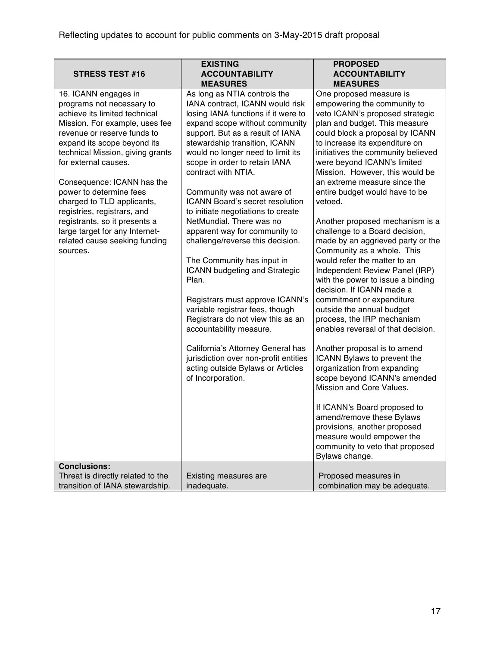| <b>STRESS TEST #16</b>                                                                                                                                                                                                                                                                                                                                                                                                                                                               | <b>EXISTING</b><br><b>ACCOUNTABILITY</b>                                                                                                                                                                                                                                                                                                                                                                                                                                                                           | <b>PROPOSED</b><br><b>ACCOUNTABILITY</b>                                                                                                                                                                                                                                                                                                                                                                                                                                                                                     |
|--------------------------------------------------------------------------------------------------------------------------------------------------------------------------------------------------------------------------------------------------------------------------------------------------------------------------------------------------------------------------------------------------------------------------------------------------------------------------------------|--------------------------------------------------------------------------------------------------------------------------------------------------------------------------------------------------------------------------------------------------------------------------------------------------------------------------------------------------------------------------------------------------------------------------------------------------------------------------------------------------------------------|------------------------------------------------------------------------------------------------------------------------------------------------------------------------------------------------------------------------------------------------------------------------------------------------------------------------------------------------------------------------------------------------------------------------------------------------------------------------------------------------------------------------------|
|                                                                                                                                                                                                                                                                                                                                                                                                                                                                                      | <b>MEASURES</b>                                                                                                                                                                                                                                                                                                                                                                                                                                                                                                    | <b>MEASURES</b>                                                                                                                                                                                                                                                                                                                                                                                                                                                                                                              |
| 16. ICANN engages in<br>programs not necessary to<br>achieve its limited technical<br>Mission. For example, uses fee<br>revenue or reserve funds to<br>expand its scope beyond its<br>technical Mission, giving grants<br>for external causes.<br>Consequence: ICANN has the<br>power to determine fees<br>charged to TLD applicants,<br>registries, registrars, and<br>registrants, so it presents a<br>large target for any Internet-<br>related cause seeking funding<br>sources. | As long as NTIA controls the<br>IANA contract, ICANN would risk<br>losing IANA functions if it were to<br>expand scope without community<br>support. But as a result of IANA<br>stewardship transition, ICANN<br>would no longer need to limit its<br>scope in order to retain IANA<br>contract with NTIA.<br>Community was not aware of<br>ICANN Board's secret resolution<br>to initiate negotiations to create<br>NetMundial. There was no<br>apparent way for community to<br>challenge/reverse this decision. | One proposed measure is<br>empowering the community to<br>veto ICANN's proposed strategic<br>plan and budget. This measure<br>could block a proposal by ICANN<br>to increase its expenditure on<br>initiatives the community believed<br>were beyond ICANN's limited<br>Mission. However, this would be<br>an extreme measure since the<br>entire budget would have to be<br>vetoed.<br>Another proposed mechanism is a<br>challenge to a Board decision,<br>made by an aggrieved party or the<br>Community as a whole. This |
|                                                                                                                                                                                                                                                                                                                                                                                                                                                                                      | The Community has input in<br><b>ICANN</b> budgeting and Strategic<br>Plan.<br>Registrars must approve ICANN's<br>variable registrar fees, though<br>Registrars do not view this as an<br>accountability measure.                                                                                                                                                                                                                                                                                                  | would refer the matter to an<br>Independent Review Panel (IRP)<br>with the power to issue a binding<br>decision. If ICANN made a<br>commitment or expenditure<br>outside the annual budget<br>process, the IRP mechanism<br>enables reversal of that decision.                                                                                                                                                                                                                                                               |
|                                                                                                                                                                                                                                                                                                                                                                                                                                                                                      | California's Attorney General has<br>jurisdiction over non-profit entities<br>acting outside Bylaws or Articles<br>of Incorporation.                                                                                                                                                                                                                                                                                                                                                                               | Another proposal is to amend<br>ICANN Bylaws to prevent the<br>organization from expanding<br>scope beyond ICANN's amended<br>Mission and Core Values.<br>If ICANN's Board proposed to<br>amend/remove these Bylaws<br>provisions, another proposed<br>measure would empower the<br>community to veto that proposed<br>Bylaws change.                                                                                                                                                                                        |
| <b>Conclusions:</b>                                                                                                                                                                                                                                                                                                                                                                                                                                                                  |                                                                                                                                                                                                                                                                                                                                                                                                                                                                                                                    |                                                                                                                                                                                                                                                                                                                                                                                                                                                                                                                              |
| Threat is directly related to the<br>transition of IANA stewardship.                                                                                                                                                                                                                                                                                                                                                                                                                 | Existing measures are<br>inadequate.                                                                                                                                                                                                                                                                                                                                                                                                                                                                               | Proposed measures in<br>combination may be adequate.                                                                                                                                                                                                                                                                                                                                                                                                                                                                         |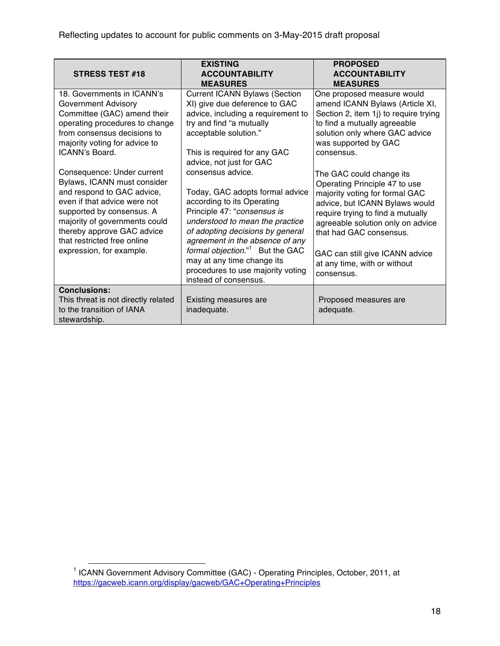| <b>STRESS TEST #18</b>                                                                                                                                                                                                                           | <b>EXISTING</b><br><b>ACCOUNTABILITY</b><br><b>MEASURES</b>                                                                                                                                                                              | <b>PROPOSED</b><br><b>ACCOUNTABILITY</b><br><b>MEASURES</b>                                                                                                                                                                        |
|--------------------------------------------------------------------------------------------------------------------------------------------------------------------------------------------------------------------------------------------------|------------------------------------------------------------------------------------------------------------------------------------------------------------------------------------------------------------------------------------------|------------------------------------------------------------------------------------------------------------------------------------------------------------------------------------------------------------------------------------|
| 18. Governments in ICANN's<br><b>Government Advisory</b><br>Committee (GAC) amend their<br>operating procedures to change<br>from consensus decisions to<br>majority voting for advice to                                                        | <b>Current ICANN Bylaws (Section</b><br>XI) give due deference to GAC<br>advice, including a requirement to<br>try and find "a mutually<br>acceptable solution."                                                                         | One proposed measure would<br>amend ICANN Bylaws (Article XI,<br>Section 2, item 1j) to require trying<br>to find a mutually agreeable<br>solution only where GAC advice<br>was supported by GAC                                   |
| ICANN's Board.<br>Consequence: Under current                                                                                                                                                                                                     | This is required for any GAC<br>advice, not just for GAC<br>consensus advice.                                                                                                                                                            | consensus.                                                                                                                                                                                                                         |
| Bylaws, ICANN must consider<br>and respond to GAC advice,<br>even if that advice were not<br>supported by consensus. A<br>majority of governments could<br>thereby approve GAC advice<br>that restricted free online<br>expression, for example. | Today, GAC adopts formal advice<br>according to its Operating<br>Principle 47: "consensus is<br>understood to mean the practice<br>of adopting decisions by general<br>agreement in the absence of any<br>formal objection." But the GAC | The GAC could change its<br>Operating Principle 47 to use<br>majority voting for formal GAC<br>advice, but ICANN Bylaws would<br>require trying to find a mutually<br>agreeable solution only on advice<br>that had GAC consensus. |
|                                                                                                                                                                                                                                                  | may at any time change its<br>procedures to use majority voting<br>instead of consensus.                                                                                                                                                 | GAC can still give ICANN advice<br>at any time, with or without<br>consensus.                                                                                                                                                      |
| <b>Conclusions:</b><br>This threat is not directly related<br>to the transition of IANA<br>stewardship.                                                                                                                                          | Existing measures are<br>inadequate.                                                                                                                                                                                                     | Proposed measures are<br>adequate.                                                                                                                                                                                                 |

<sup>1&</sup>lt;br>1 ICANN Government Advisory Committee (GAC) - Operating Principles, October, 2011, at https://gacweb.icann.org/display/gacweb/GAC+Operating+Principles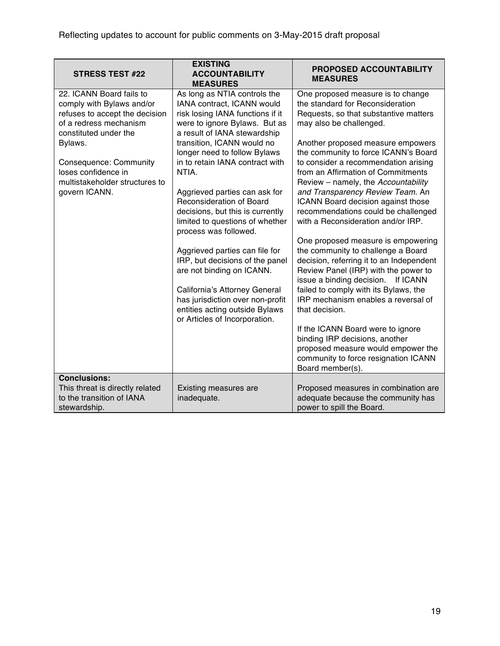| <b>STRESS TEST #22</b>                                                                                                                                                                                                                                    | <b>EXISTING</b><br><b>ACCOUNTABILITY</b><br><b>MEASURES</b>                                                                                                                                                                                                                                                                                                                                                          | <b>PROPOSED ACCOUNTABILITY</b><br><b>MEASURES</b>                                                                                                                                                                                                                                                                                                                                                                                                                                                  |
|-----------------------------------------------------------------------------------------------------------------------------------------------------------------------------------------------------------------------------------------------------------|----------------------------------------------------------------------------------------------------------------------------------------------------------------------------------------------------------------------------------------------------------------------------------------------------------------------------------------------------------------------------------------------------------------------|----------------------------------------------------------------------------------------------------------------------------------------------------------------------------------------------------------------------------------------------------------------------------------------------------------------------------------------------------------------------------------------------------------------------------------------------------------------------------------------------------|
| 22. ICANN Board fails to<br>comply with Bylaws and/or<br>refuses to accept the decision<br>of a redress mechanism<br>constituted under the<br>Bylaws.<br>Consequence: Community<br>loses confidence in<br>multistakeholder structures to<br>govern ICANN. | As long as NTIA controls the<br>IANA contract, ICANN would<br>risk losing IANA functions if it<br>were to ignore Bylaws. But as<br>a result of IANA stewardship<br>transition, ICANN would no<br>longer need to follow Bylaws<br>in to retain IANA contract with<br>NTIA.<br>Aggrieved parties can ask for<br><b>Reconsideration of Board</b><br>decisions, but this is currently<br>limited to questions of whether | One proposed measure is to change<br>the standard for Reconsideration<br>Requests, so that substantive matters<br>may also be challenged.<br>Another proposed measure empowers<br>the community to force ICANN's Board<br>to consider a recommendation arising<br>from an Affirmation of Commitments<br>Review - namely, the Accountability<br>and Transparency Review Team. An<br>ICANN Board decision against those<br>recommendations could be challenged<br>with a Reconsideration and/or IRP. |
|                                                                                                                                                                                                                                                           | process was followed.<br>Aggrieved parties can file for<br>IRP, but decisions of the panel<br>are not binding on ICANN.<br>California's Attorney General<br>has jurisdiction over non-profit<br>entities acting outside Bylaws<br>or Articles of Incorporation.                                                                                                                                                      | One proposed measure is empowering<br>the community to challenge a Board<br>decision, referring it to an Independent<br>Review Panel (IRP) with the power to<br>issue a binding decision. If ICANN<br>failed to comply with its Bylaws, the<br>IRP mechanism enables a reversal of<br>that decision.<br>If the ICANN Board were to ignore<br>binding IRP decisions, another<br>proposed measure would empower the<br>community to force resignation ICANN<br>Board member(s).                      |
| <b>Conclusions:</b><br>This threat is directly related<br>to the transition of IANA<br>stewardship.                                                                                                                                                       | Existing measures are<br>inadequate.                                                                                                                                                                                                                                                                                                                                                                                 | Proposed measures in combination are<br>adequate because the community has<br>power to spill the Board.                                                                                                                                                                                                                                                                                                                                                                                            |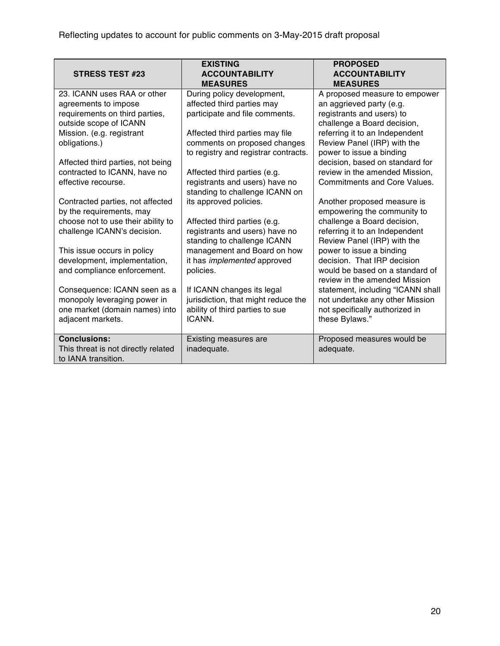| <b>STRESS TEST #23</b>              | <b>EXISTING</b><br><b>ACCOUNTABILITY</b><br><b>MEASURES</b> | <b>PROPOSED</b><br><b>ACCOUNTABILITY</b><br><b>MEASURES</b> |
|-------------------------------------|-------------------------------------------------------------|-------------------------------------------------------------|
| 23. ICANN uses RAA or other         | During policy development,                                  | A proposed measure to empower                               |
| agreements to impose                | affected third parties may                                  | an aggrieved party (e.g.                                    |
| requirements on third parties,      | participate and file comments.                              | registrants and users) to                                   |
| outside scope of ICANN              |                                                             | challenge a Board decision,                                 |
| Mission. (e.g. registrant           | Affected third parties may file                             | referring it to an Independent                              |
| obligations.)                       | comments on proposed changes                                | Review Panel (IRP) with the                                 |
|                                     | to registry and registrar contracts.                        | power to issue a binding                                    |
| Affected third parties, not being   |                                                             | decision, based on standard for                             |
| contracted to ICANN, have no        | Affected third parties (e.g.                                | review in the amended Mission,                              |
| effective recourse.                 | registrants and users) have no                              | <b>Commitments and Core Values.</b>                         |
|                                     | standing to challenge ICANN on                              |                                                             |
| Contracted parties, not affected    | its approved policies.                                      | Another proposed measure is                                 |
| by the requirements, may            |                                                             | empowering the community to                                 |
| choose not to use their ability to  | Affected third parties (e.g.                                | challenge a Board decision,                                 |
| challenge ICANN's decision.         | registrants and users) have no                              | referring it to an Independent                              |
|                                     | standing to challenge ICANN                                 | Review Panel (IRP) with the                                 |
| This issue occurs in policy         | management and Board on how                                 | power to issue a binding                                    |
| development, implementation,        | it has <i>implemented</i> approved                          | decision. That IRP decision                                 |
| and compliance enforcement.         | policies.                                                   | would be based on a standard of                             |
|                                     |                                                             | review in the amended Mission                               |
| Consequence: ICANN seen as a        | If ICANN changes its legal                                  | statement, including "ICANN shall                           |
| monopoly leveraging power in        | jurisdiction, that might reduce the                         | not undertake any other Mission                             |
| one market (domain names) into      | ability of third parties to sue                             | not specifically authorized in                              |
| adjacent markets.                   | ICANN.                                                      | these Bylaws."                                              |
|                                     |                                                             |                                                             |
| <b>Conclusions:</b>                 | Existing measures are                                       | Proposed measures would be                                  |
| This threat is not directly related | inadequate.                                                 | adequate.                                                   |
| to IANA transition.                 |                                                             |                                                             |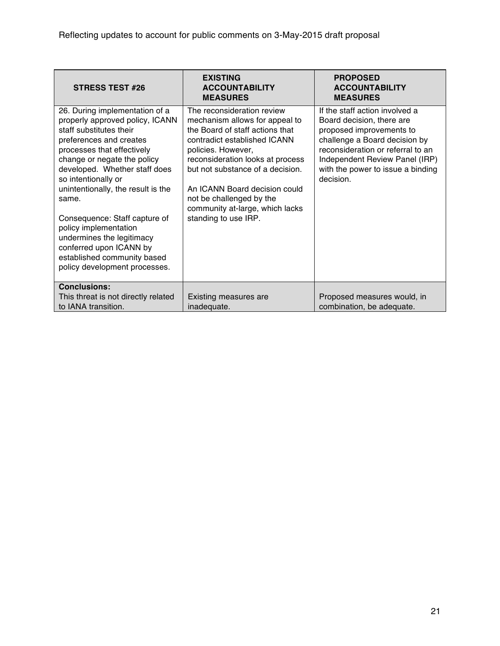| <b>STRESS TEST #26</b>                                                                                                                                                                                                                                                                                                                                                                                                                                                        | <b>EXISTING</b><br><b>ACCOUNTABILITY</b><br><b>MEASURES</b>                                                                                                                                                                                                                                                                                           | <b>PROPOSED</b><br><b>ACCOUNTABILITY</b><br><b>MEASURES</b>                                                                                                                                                                                       |
|-------------------------------------------------------------------------------------------------------------------------------------------------------------------------------------------------------------------------------------------------------------------------------------------------------------------------------------------------------------------------------------------------------------------------------------------------------------------------------|-------------------------------------------------------------------------------------------------------------------------------------------------------------------------------------------------------------------------------------------------------------------------------------------------------------------------------------------------------|---------------------------------------------------------------------------------------------------------------------------------------------------------------------------------------------------------------------------------------------------|
| 26. During implementation of a<br>properly approved policy, ICANN<br>staff substitutes their<br>preferences and creates<br>processes that effectively<br>change or negate the policy<br>developed. Whether staff does<br>so intentionally or<br>unintentionally, the result is the<br>same.<br>Consequence: Staff capture of<br>policy implementation<br>undermines the legitimacy<br>conferred upon ICANN by<br>established community based<br>policy development processes. | The reconsideration review<br>mechanism allows for appeal to<br>the Board of staff actions that<br>contradict established ICANN<br>policies. However,<br>reconsideration looks at process<br>but not substance of a decision.<br>An ICANN Board decision could<br>not be challenged by the<br>community at-large, which lacks<br>standing to use IRP. | If the staff action involved a<br>Board decision, there are<br>proposed improvements to<br>challenge a Board decision by<br>reconsideration or referral to an<br>Independent Review Panel (IRP)<br>with the power to issue a binding<br>decision. |
| <b>Conclusions:</b><br>This threat is not directly related<br>to IANA transition.                                                                                                                                                                                                                                                                                                                                                                                             | <b>Existing measures are</b><br>inadequate.                                                                                                                                                                                                                                                                                                           | Proposed measures would, in<br>combination, be adequate.                                                                                                                                                                                          |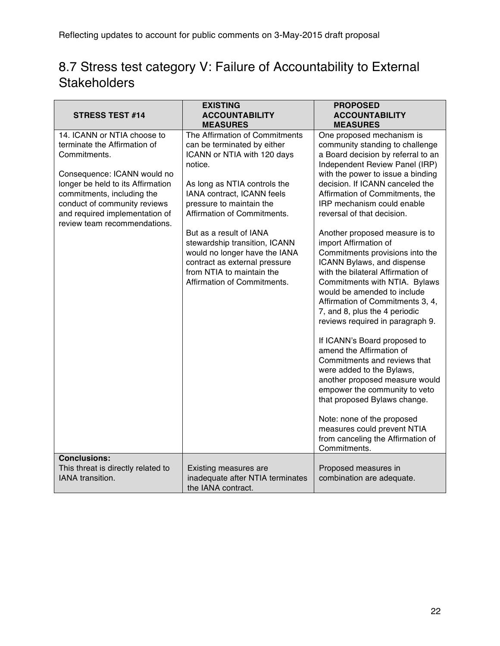### 8.7 Stress test category V: Failure of Accountability to External **Stakeholders**

| <b>STRESS TEST #14</b>                                                                                                                                                                                                                                                          | <b>EXISTING</b><br><b>ACCOUNTABILITY</b><br><b>MEASURES</b>                                                                                                                                                                                                                                                                                                                                                                | <b>PROPOSED</b><br><b>ACCOUNTABILITY</b><br><b>MEASURES</b>                                                                                                                                                                                                                                                                                                                                                                                                                                                                                                                                                                                                                                                                                                                                                                                                                                                                                                                                         |
|---------------------------------------------------------------------------------------------------------------------------------------------------------------------------------------------------------------------------------------------------------------------------------|----------------------------------------------------------------------------------------------------------------------------------------------------------------------------------------------------------------------------------------------------------------------------------------------------------------------------------------------------------------------------------------------------------------------------|-----------------------------------------------------------------------------------------------------------------------------------------------------------------------------------------------------------------------------------------------------------------------------------------------------------------------------------------------------------------------------------------------------------------------------------------------------------------------------------------------------------------------------------------------------------------------------------------------------------------------------------------------------------------------------------------------------------------------------------------------------------------------------------------------------------------------------------------------------------------------------------------------------------------------------------------------------------------------------------------------------|
| 14. ICANN or NTIA choose to<br>terminate the Affirmation of<br>Commitments.<br>Consequence: ICANN would no<br>longer be held to its Affirmation<br>commitments, including the<br>conduct of community reviews<br>and required implementation of<br>review team recommendations. | The Affirmation of Commitments<br>can be terminated by either<br>ICANN or NTIA with 120 days<br>notice.<br>As long as NTIA controls the<br>IANA contract, ICANN feels<br>pressure to maintain the<br>Affirmation of Commitments.<br>But as a result of IANA<br>stewardship transition, ICANN<br>would no longer have the IANA<br>contract as external pressure<br>from NTIA to maintain the<br>Affirmation of Commitments. | One proposed mechanism is<br>community standing to challenge<br>a Board decision by referral to an<br>Independent Review Panel (IRP)<br>with the power to issue a binding<br>decision. If ICANN canceled the<br>Affirmation of Commitments, the<br>IRP mechanism could enable<br>reversal of that decision.<br>Another proposed measure is to<br>import Affirmation of<br>Commitments provisions into the<br>ICANN Bylaws, and dispense<br>with the bilateral Affirmation of<br>Commitments with NTIA. Bylaws<br>would be amended to include<br>Affirmation of Commitments 3, 4,<br>7, and 8, plus the 4 periodic<br>reviews required in paragraph 9.<br>If ICANN's Board proposed to<br>amend the Affirmation of<br>Commitments and reviews that<br>were added to the Bylaws,<br>another proposed measure would<br>empower the community to veto<br>that proposed Bylaws change.<br>Note: none of the proposed<br>measures could prevent NTIA<br>from canceling the Affirmation of<br>Commitments. |
| <b>Conclusions:</b><br>This threat is directly related to<br><b>IANA</b> transition.                                                                                                                                                                                            | Existing measures are<br>inadequate after NTIA terminates<br>the IANA contract.                                                                                                                                                                                                                                                                                                                                            | Proposed measures in<br>combination are adequate.                                                                                                                                                                                                                                                                                                                                                                                                                                                                                                                                                                                                                                                                                                                                                                                                                                                                                                                                                   |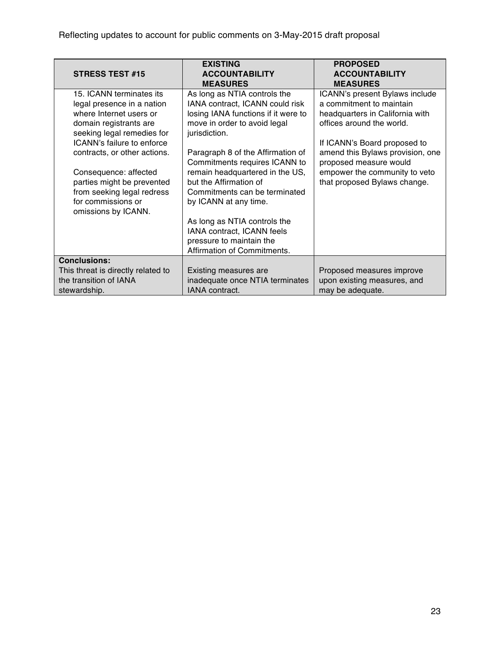| <b>STRESS TEST #15</b>                                                                                                                                                  | <b>EXISTING</b><br><b>ACCOUNTABILITY</b><br><b>MEASURES</b>                                                                                                                               | <b>PROPOSED</b><br><b>ACCOUNTABILITY</b><br><b>MEASURES</b>                                                                                                |
|-------------------------------------------------------------------------------------------------------------------------------------------------------------------------|-------------------------------------------------------------------------------------------------------------------------------------------------------------------------------------------|------------------------------------------------------------------------------------------------------------------------------------------------------------|
| 15. ICANN terminates its<br>legal presence in a nation<br>where Internet users or<br>domain registrants are<br>seeking legal remedies for<br>ICANN's failure to enforce | As long as NTIA controls the<br>IANA contract, ICANN could risk<br>losing IANA functions if it were to<br>move in order to avoid legal<br>jurisdiction.                                   | ICANN's present Bylaws include<br>a commitment to maintain<br>headquarters in California with<br>offices around the world.<br>If ICANN's Board proposed to |
| contracts, or other actions.<br>Consequence: affected<br>parties might be prevented<br>from seeking legal redress<br>for commissions or<br>omissions by ICANN.          | Paragraph 8 of the Affirmation of<br>Commitments requires ICANN to<br>remain headquartered in the US,<br>but the Affirmation of<br>Commitments can be terminated<br>by ICANN at any time. | amend this Bylaws provision, one<br>proposed measure would<br>empower the community to veto<br>that proposed Bylaws change.                                |
|                                                                                                                                                                         | As long as NTIA controls the<br>IANA contract, ICANN feels<br>pressure to maintain the<br>Affirmation of Commitments.                                                                     |                                                                                                                                                            |
| <b>Conclusions:</b><br>This threat is directly related to<br>the transition of IANA<br>stewardship.                                                                     | Existing measures are<br>inadequate once NTIA terminates<br>IANA contract.                                                                                                                | Proposed measures improve<br>upon existing measures, and<br>may be adequate.                                                                               |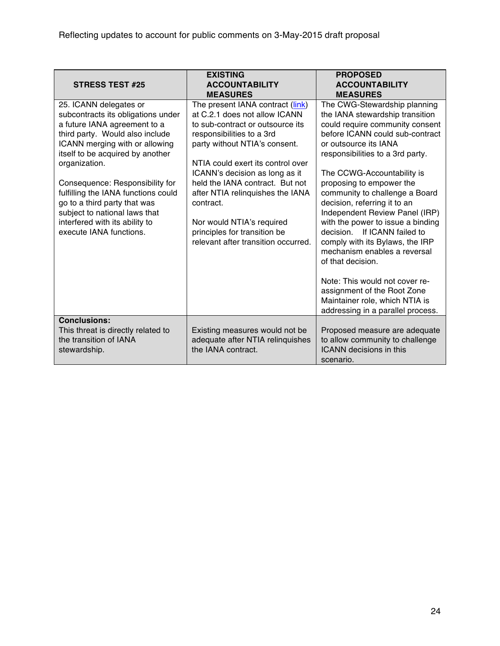| <b>STRESS TEST #25</b>                                                                                                                                                                                                                                                                                                                                                                                                         | <b>EXISTING</b><br><b>ACCOUNTABILITY</b><br><b>MEASURES</b>                                                                                                                                                                                                                                                                                                                                                                        | <b>PROPOSED</b><br><b>ACCOUNTABILITY</b><br><b>MEASURES</b>                                                                                                                                                                                                                                                                                                                                                                                                                                                                                                                                                                                                           |
|--------------------------------------------------------------------------------------------------------------------------------------------------------------------------------------------------------------------------------------------------------------------------------------------------------------------------------------------------------------------------------------------------------------------------------|------------------------------------------------------------------------------------------------------------------------------------------------------------------------------------------------------------------------------------------------------------------------------------------------------------------------------------------------------------------------------------------------------------------------------------|-----------------------------------------------------------------------------------------------------------------------------------------------------------------------------------------------------------------------------------------------------------------------------------------------------------------------------------------------------------------------------------------------------------------------------------------------------------------------------------------------------------------------------------------------------------------------------------------------------------------------------------------------------------------------|
| 25. ICANN delegates or<br>subcontracts its obligations under<br>a future IANA agreement to a<br>third party. Would also include<br>ICANN merging with or allowing<br>itself to be acquired by another<br>organization.<br>Consequence: Responsibility for<br>fulfilling the IANA functions could<br>go to a third party that was<br>subject to national laws that<br>interfered with its ability to<br>execute IANA functions. | The present IANA contract (link)<br>at C.2.1 does not allow ICANN<br>to sub-contract or outsource its<br>responsibilities to a 3rd<br>party without NTIA's consent.<br>NTIA could exert its control over<br>ICANN's decision as long as it<br>held the IANA contract. But not<br>after NTIA relinquishes the IANA<br>contract.<br>Nor would NTIA's required<br>principles for transition be<br>relevant after transition occurred. | The CWG-Stewardship planning<br>the IANA stewardship transition<br>could require community consent<br>before ICANN could sub-contract<br>or outsource its IANA<br>responsibilities to a 3rd party.<br>The CCWG-Accountability is<br>proposing to empower the<br>community to challenge a Board<br>decision, referring it to an<br>Independent Review Panel (IRP)<br>with the power to issue a binding<br>decision. If ICANN failed to<br>comply with its Bylaws, the IRP<br>mechanism enables a reversal<br>of that decision.<br>Note: This would not cover re-<br>assignment of the Root Zone<br>Maintainer role, which NTIA is<br>addressing in a parallel process. |
| <b>Conclusions:</b><br>This threat is directly related to<br>the transition of IANA<br>stewardship.                                                                                                                                                                                                                                                                                                                            | Existing measures would not be<br>adequate after NTIA relinquishes<br>the IANA contract.                                                                                                                                                                                                                                                                                                                                           | Proposed measure are adequate<br>to allow community to challenge<br><b>ICANN</b> decisions in this<br>scenario.                                                                                                                                                                                                                                                                                                                                                                                                                                                                                                                                                       |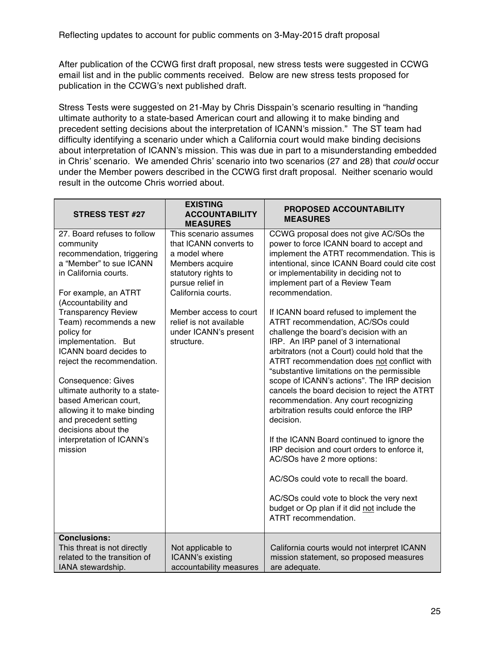After publication of the CCWG first draft proposal, new stress tests were suggested in CCWG email list and in the public comments received. Below are new stress tests proposed for publication in the CCWG's next published draft.

Stress Tests were suggested on 21-May by Chris Disspain's scenario resulting in "handing ultimate authority to a state-based American court and allowing it to make binding and precedent setting decisions about the interpretation of ICANN's mission." The ST team had difficulty identifying a scenario under which a California court would make binding decisions about interpretation of ICANN's mission. This was due in part to a misunderstanding embedded in Chris' scenario. We amended Chris' scenario into two scenarios (27 and 28) that *could* occur under the Member powers described in the CCWG first draft proposal. Neither scenario would result in the outcome Chris worried about.

| <b>STRESS TEST #27</b>                                                                                                                                                                                                                                                                                                                                                                                                                                                                                                                 | <b>EXISTING</b><br><b>ACCOUNTABILITY</b><br><b>MEASURES</b>                                                                                                                                                                                      | <b>PROPOSED ACCOUNTABILITY</b><br><b>MEASURES</b>                                                                                                                                                                                                                                                                                                                                                                                                                                                                                                                                                                                                                                                                                                                                                                                                                                                                                                                                                                                                                                               |
|----------------------------------------------------------------------------------------------------------------------------------------------------------------------------------------------------------------------------------------------------------------------------------------------------------------------------------------------------------------------------------------------------------------------------------------------------------------------------------------------------------------------------------------|--------------------------------------------------------------------------------------------------------------------------------------------------------------------------------------------------------------------------------------------------|-------------------------------------------------------------------------------------------------------------------------------------------------------------------------------------------------------------------------------------------------------------------------------------------------------------------------------------------------------------------------------------------------------------------------------------------------------------------------------------------------------------------------------------------------------------------------------------------------------------------------------------------------------------------------------------------------------------------------------------------------------------------------------------------------------------------------------------------------------------------------------------------------------------------------------------------------------------------------------------------------------------------------------------------------------------------------------------------------|
| 27. Board refuses to follow<br>community<br>recommendation, triggering<br>a "Member" to sue ICANN<br>in California courts.<br>For example, an ATRT<br>(Accountability and<br><b>Transparency Review</b><br>Team) recommends a new<br>policy for<br>implementation. But<br>ICANN board decides to<br>reject the recommendation.<br>Consequence: Gives<br>ultimate authority to a state-<br>based American court,<br>allowing it to make binding<br>and precedent setting<br>decisions about the<br>interpretation of ICANN's<br>mission | This scenario assumes<br>that ICANN converts to<br>a model where<br>Members acquire<br>statutory rights to<br>pursue relief in<br>California courts.<br>Member access to court<br>relief is not available<br>under ICANN's present<br>structure. | CCWG proposal does not give AC/SOs the<br>power to force ICANN board to accept and<br>implement the ATRT recommendation. This is<br>intentional, since ICANN Board could cite cost<br>or implementability in deciding not to<br>implement part of a Review Team<br>recommendation.<br>If ICANN board refused to implement the<br>ATRT recommendation, AC/SOs could<br>challenge the board's decision with an<br>IRP. An IRP panel of 3 international<br>arbitrators (not a Court) could hold that the<br>ATRT recommendation does not conflict with<br>"substantive limitations on the permissible<br>scope of ICANN's actions". The IRP decision<br>cancels the board decision to reject the ATRT<br>recommendation. Any court recognizing<br>arbitration results could enforce the IRP<br>decision.<br>If the ICANN Board continued to ignore the<br>IRP decision and court orders to enforce it.<br>AC/SOs have 2 more options:<br>AC/SOs could vote to recall the board.<br>AC/SOs could vote to block the very next<br>budget or Op plan if it did not include the<br>ATRT recommendation. |
| <b>Conclusions:</b><br>This threat is not directly<br>related to the transition of<br>IANA stewardship.                                                                                                                                                                                                                                                                                                                                                                                                                                | Not applicable to<br>ICANN's existing<br>accountability measures                                                                                                                                                                                 | California courts would not interpret ICANN<br>mission statement, so proposed measures<br>are adequate.                                                                                                                                                                                                                                                                                                                                                                                                                                                                                                                                                                                                                                                                                                                                                                                                                                                                                                                                                                                         |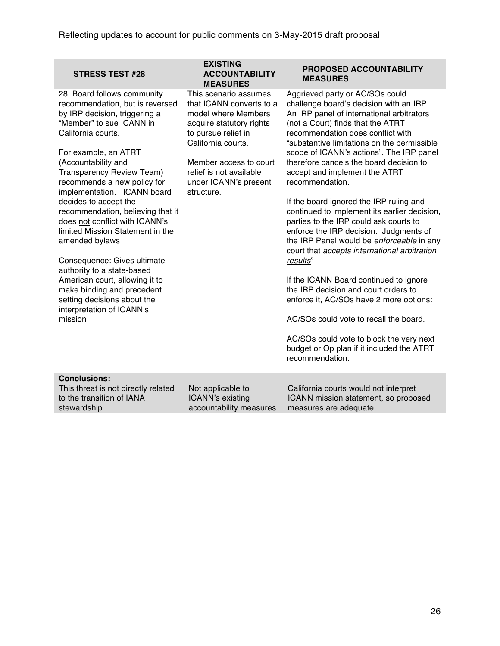| <b>STRESS TEST #28</b>                                                                                                                                                                                                                                                                                                                                                                                                                                                                                                                                                                                                                                | <b>EXISTING</b><br><b>ACCOUNTABILITY</b><br><b>MEASURES</b>                                                                                                                                                                                   | <b>PROPOSED ACCOUNTABILITY</b><br><b>MEASURES</b>                                                                                                                                                                                                                                                                                                                                                                                                                                                                                                                                                                                                                                                                                                                                                                                                                                                                                                                      |
|-------------------------------------------------------------------------------------------------------------------------------------------------------------------------------------------------------------------------------------------------------------------------------------------------------------------------------------------------------------------------------------------------------------------------------------------------------------------------------------------------------------------------------------------------------------------------------------------------------------------------------------------------------|-----------------------------------------------------------------------------------------------------------------------------------------------------------------------------------------------------------------------------------------------|------------------------------------------------------------------------------------------------------------------------------------------------------------------------------------------------------------------------------------------------------------------------------------------------------------------------------------------------------------------------------------------------------------------------------------------------------------------------------------------------------------------------------------------------------------------------------------------------------------------------------------------------------------------------------------------------------------------------------------------------------------------------------------------------------------------------------------------------------------------------------------------------------------------------------------------------------------------------|
| 28. Board follows community<br>recommendation, but is reversed<br>by IRP decision, triggering a<br>"Member" to sue ICANN in<br>California courts.<br>For example, an ATRT<br>(Accountability and<br>Transparency Review Team)<br>recommends a new policy for<br>implementation. ICANN board<br>decides to accept the<br>recommendation, believing that it<br>does not conflict with ICANN's<br>limited Mission Statement in the<br>amended bylaws<br>Consequence: Gives ultimate<br>authority to a state-based<br>American court, allowing it to<br>make binding and precedent<br>setting decisions about the<br>interpretation of ICANN's<br>mission | This scenario assumes<br>that ICANN converts to a<br>model where Members<br>acquire statutory rights<br>to pursue relief in<br>California courts.<br>Member access to court<br>relief is not available<br>under ICANN's present<br>structure. | Aggrieved party or AC/SOs could<br>challenge board's decision with an IRP.<br>An IRP panel of international arbitrators<br>(not a Court) finds that the ATRT<br>recommendation does conflict with<br>"substantive limitations on the permissible<br>scope of ICANN's actions". The IRP panel<br>therefore cancels the board decision to<br>accept and implement the ATRT<br>recommendation.<br>If the board ignored the IRP ruling and<br>continued to implement its earlier decision,<br>parties to the IRP could ask courts to<br>enforce the IRP decision. Judgments of<br>the IRP Panel would be enforceable in any<br>court that accepts international arbitration<br>results"<br>If the ICANN Board continued to ignore<br>the IRP decision and court orders to<br>enforce it, AC/SOs have 2 more options:<br>AC/SOs could vote to recall the board.<br>AC/SOs could vote to block the very next<br>budget or Op plan if it included the ATRT<br>recommendation. |
| <b>Conclusions:</b><br>This threat is not directly related<br>to the transition of IANA<br>stewardship.                                                                                                                                                                                                                                                                                                                                                                                                                                                                                                                                               | Not applicable to<br>ICANN's existing<br>accountability measures                                                                                                                                                                              | California courts would not interpret<br>ICANN mission statement, so proposed<br>measures are adequate.                                                                                                                                                                                                                                                                                                                                                                                                                                                                                                                                                                                                                                                                                                                                                                                                                                                                |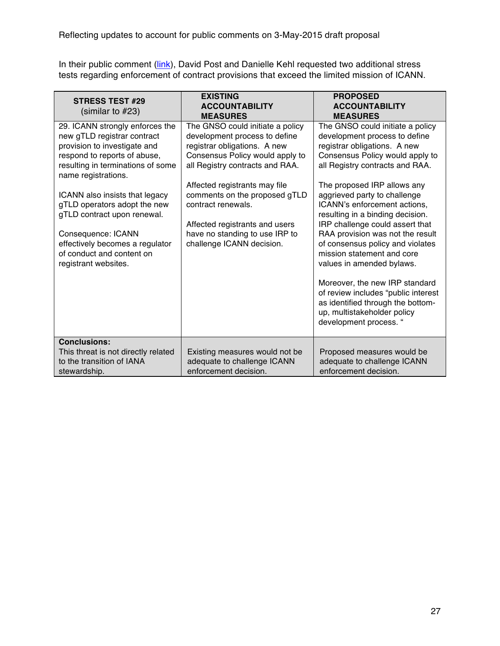In their public comment (link), David Post and Danielle Kehl requested two additional stress tests regarding enforcement of contract provisions that exceed the limited mission of ICANN.

| <b>STRESS TEST #29</b><br>(similar to $#23$ )                                                                                                                                                                                                                                                                                                                                                             | <b>EXISTING</b><br><b>ACCOUNTABILITY</b><br><b>MEASURES</b>                                                                                                                                                                                                                                                                                                      | <b>PROPOSED</b><br><b>ACCOUNTABILITY</b><br><b>MEASURES</b>                                                                                                                                                                                                                                                                                                                                                                                                                                                                                                                                                                                             |
|-----------------------------------------------------------------------------------------------------------------------------------------------------------------------------------------------------------------------------------------------------------------------------------------------------------------------------------------------------------------------------------------------------------|------------------------------------------------------------------------------------------------------------------------------------------------------------------------------------------------------------------------------------------------------------------------------------------------------------------------------------------------------------------|---------------------------------------------------------------------------------------------------------------------------------------------------------------------------------------------------------------------------------------------------------------------------------------------------------------------------------------------------------------------------------------------------------------------------------------------------------------------------------------------------------------------------------------------------------------------------------------------------------------------------------------------------------|
| 29. ICANN strongly enforces the<br>new gTLD registrar contract<br>provision to investigate and<br>respond to reports of abuse,<br>resulting in terminations of some<br>name registrations.<br>ICANN also insists that legacy<br>gTLD operators adopt the new<br>gTLD contract upon renewal.<br>Consequence: ICANN<br>effectively becomes a regulator<br>of conduct and content on<br>registrant websites. | The GNSO could initiate a policy<br>development process to define<br>registrar obligations. A new<br>Consensus Policy would apply to<br>all Registry contracts and RAA.<br>Affected registrants may file<br>comments on the proposed gTLD<br>contract renewals.<br>Affected registrants and users<br>have no standing to use IRP to<br>challenge ICANN decision. | The GNSO could initiate a policy<br>development process to define<br>registrar obligations. A new<br>Consensus Policy would apply to<br>all Registry contracts and RAA.<br>The proposed IRP allows any<br>aggrieved party to challenge<br>ICANN's enforcement actions,<br>resulting in a binding decision.<br>IRP challenge could assert that<br>RAA provision was not the result<br>of consensus policy and violates<br>mission statement and core<br>values in amended bylaws.<br>Moreover, the new IRP standard<br>of review includes "public interest<br>as identified through the bottom-<br>up, multistakeholder policy<br>development process. " |
| <b>Conclusions:</b><br>This threat is not directly related<br>to the transition of IANA<br>stewardship.                                                                                                                                                                                                                                                                                                   | Existing measures would not be<br>adequate to challenge ICANN<br>enforcement decision.                                                                                                                                                                                                                                                                           | Proposed measures would be<br>adequate to challenge ICANN<br>enforcement decision.                                                                                                                                                                                                                                                                                                                                                                                                                                                                                                                                                                      |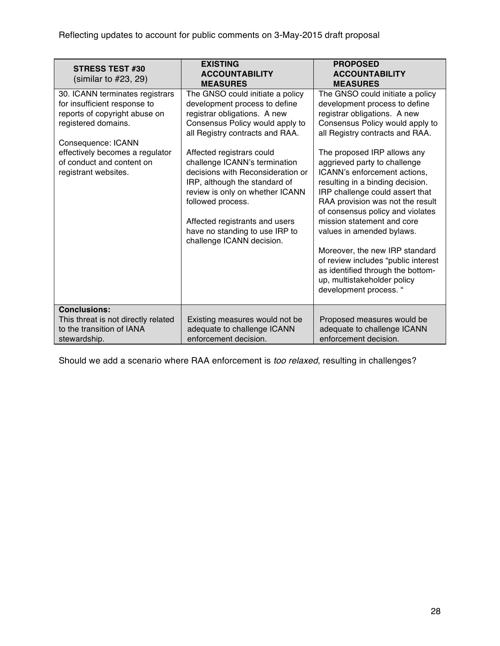| <b>STRESS TEST #30</b><br>(similar to $#23, 29$ )                                                                                                                                                                                     | <b>EXISTING</b><br><b>ACCOUNTABILITY</b><br><b>MEASURES</b>                                                                                                                                                                                                                                                                                                                                                                                                          | <b>PROPOSED</b><br><b>ACCOUNTABILITY</b><br><b>MEASURES</b>                                                                                                                                                                                                                                                                                                                                                                                                                                                                                               |
|---------------------------------------------------------------------------------------------------------------------------------------------------------------------------------------------------------------------------------------|----------------------------------------------------------------------------------------------------------------------------------------------------------------------------------------------------------------------------------------------------------------------------------------------------------------------------------------------------------------------------------------------------------------------------------------------------------------------|-----------------------------------------------------------------------------------------------------------------------------------------------------------------------------------------------------------------------------------------------------------------------------------------------------------------------------------------------------------------------------------------------------------------------------------------------------------------------------------------------------------------------------------------------------------|
| 30. ICANN terminates registrars<br>for insufficient response to<br>reports of copyright abuse on<br>registered domains.<br>Consequence: ICANN<br>effectively becomes a regulator<br>of conduct and content on<br>registrant websites. | The GNSO could initiate a policy<br>development process to define<br>registrar obligations. A new<br>Consensus Policy would apply to<br>all Registry contracts and RAA.<br>Affected registrars could<br>challenge ICANN's termination<br>decisions with Reconsideration or<br>IRP, although the standard of<br>review is only on whether ICANN<br>followed process.<br>Affected registrants and users<br>have no standing to use IRP to<br>challenge ICANN decision. | The GNSO could initiate a policy<br>development process to define<br>registrar obligations. A new<br>Consensus Policy would apply to<br>all Registry contracts and RAA.<br>The proposed IRP allows any<br>aggrieved party to challenge<br>ICANN's enforcement actions,<br>resulting in a binding decision.<br>IRP challenge could assert that<br>RAA provision was not the result<br>of consensus policy and violates<br>mission statement and core<br>values in amended bylaws.<br>Moreover, the new IRP standard<br>of review includes "public interest |
|                                                                                                                                                                                                                                       |                                                                                                                                                                                                                                                                                                                                                                                                                                                                      | as identified through the bottom-<br>up, multistakeholder policy<br>development process. "                                                                                                                                                                                                                                                                                                                                                                                                                                                                |
| <b>Conclusions:</b>                                                                                                                                                                                                                   |                                                                                                                                                                                                                                                                                                                                                                                                                                                                      |                                                                                                                                                                                                                                                                                                                                                                                                                                                                                                                                                           |
| This threat is not directly related                                                                                                                                                                                                   | Existing measures would not be                                                                                                                                                                                                                                                                                                                                                                                                                                       | Proposed measures would be                                                                                                                                                                                                                                                                                                                                                                                                                                                                                                                                |
| to the transition of IANA                                                                                                                                                                                                             | adequate to challenge ICANN                                                                                                                                                                                                                                                                                                                                                                                                                                          | adequate to challenge ICANN                                                                                                                                                                                                                                                                                                                                                                                                                                                                                                                               |
| stewardship.                                                                                                                                                                                                                          | enforcement decision.                                                                                                                                                                                                                                                                                                                                                                                                                                                | enforcement decision.                                                                                                                                                                                                                                                                                                                                                                                                                                                                                                                                     |

Should we add a scenario where RAA enforcement is *too relaxed*, resulting in challenges?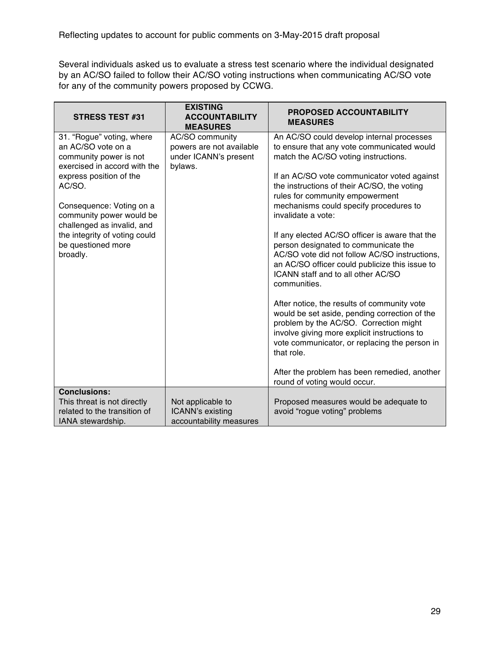Several individuals asked us to evaluate a stress test scenario where the individual designated by an AC/SO failed to follow their AC/SO voting instructions when communicating AC/SO vote for any of the community powers proposed by CCWG.

| <b>STRESS TEST #31</b>                                                                                    | <b>EXISTING</b><br><b>ACCOUNTABILITY</b><br><b>MEASURES</b>                     | <b>PROPOSED ACCOUNTABILITY</b><br><b>MEASURES</b>                                                                                                                                                                                                     |
|-----------------------------------------------------------------------------------------------------------|---------------------------------------------------------------------------------|-------------------------------------------------------------------------------------------------------------------------------------------------------------------------------------------------------------------------------------------------------|
| 31. "Rogue" voting, where<br>an AC/SO vote on a<br>community power is not<br>exercised in accord with the | AC/SO community<br>powers are not available<br>under ICANN's present<br>bylaws. | An AC/SO could develop internal processes<br>to ensure that any vote communicated would<br>match the AC/SO voting instructions.                                                                                                                       |
| express position of the<br>AC/SO.                                                                         |                                                                                 | If an AC/SO vote communicator voted against<br>the instructions of their AC/SO, the voting<br>rules for community empowerment                                                                                                                         |
| Consequence: Voting on a<br>community power would be<br>challenged as invalid, and                        |                                                                                 | mechanisms could specify procedures to<br>invalidate a vote:                                                                                                                                                                                          |
| the integrity of voting could<br>be questioned more<br>broadly.                                           |                                                                                 | If any elected AC/SO officer is aware that the<br>person designated to communicate the<br>AC/SO vote did not follow AC/SO instructions,<br>an AC/SO officer could publicize this issue to<br>ICANN staff and to all other AC/SO<br>communities.       |
|                                                                                                           |                                                                                 | After notice, the results of community vote<br>would be set aside, pending correction of the<br>problem by the AC/SO. Correction might<br>involve giving more explicit instructions to<br>vote communicator, or replacing the person in<br>that role. |
|                                                                                                           |                                                                                 | After the problem has been remedied, another<br>round of voting would occur.                                                                                                                                                                          |
| <b>Conclusions:</b><br>This threat is not directly<br>related to the transition of<br>IANA stewardship.   | Not applicable to<br>ICANN's existing<br>accountability measures                | Proposed measures would be adequate to<br>avoid "rogue voting" problems                                                                                                                                                                               |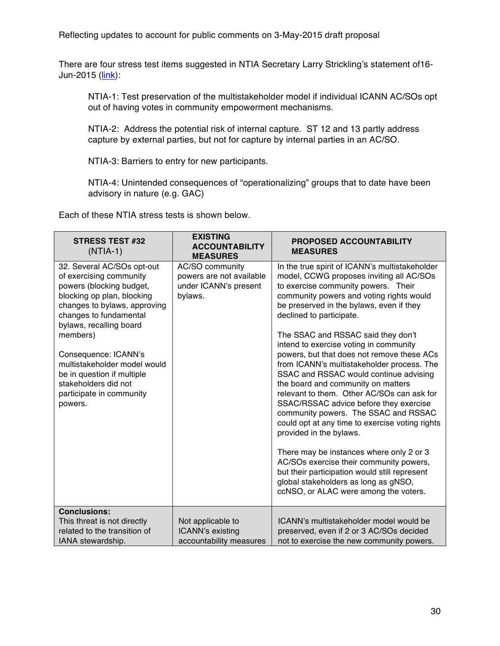Reflecting updates to account for public comments on 3-May-2015 draft proposal

There are four stress test items suggested in NTIA Secretary Larry Strickling's statement of16- Jun-2015 (link):

NTIA-1: Test preservation of the multistakeholder model if individual ICANN AC/SOs opt out of having votes in community empowerment mechanisms.

NTIA-2: Address the potential risk of internal capture. ST 12 and 13 partly address capture by external parties, but not for capture by internal parties in an AC/SO.

NTIA-3: Barriers to entry for new participants.

NTIA-4: Unintended consequences of "operationalizing" groups that to date have been advisory in nature (e.g. GAC)

Each of these NTIA stress tests is shown below.

| <b>STRESS TEST #32</b><br>$(NTIA-1)$                                                                                                                                                                                                                                                                                                                                  | <b>EXISTING</b><br><b>ACCOUNTABILITY</b><br><b>MEASURES</b>                     | <b>PROPOSED ACCOUNTABILITY</b><br><b>MEASURES</b>                                                                                                                                                                                                                                                                                                                                                                                                                                                                                                                                                                                                                                                                                                                                                                                                                                                                                                        |
|-----------------------------------------------------------------------------------------------------------------------------------------------------------------------------------------------------------------------------------------------------------------------------------------------------------------------------------------------------------------------|---------------------------------------------------------------------------------|----------------------------------------------------------------------------------------------------------------------------------------------------------------------------------------------------------------------------------------------------------------------------------------------------------------------------------------------------------------------------------------------------------------------------------------------------------------------------------------------------------------------------------------------------------------------------------------------------------------------------------------------------------------------------------------------------------------------------------------------------------------------------------------------------------------------------------------------------------------------------------------------------------------------------------------------------------|
| 32. Several AC/SOs opt-out<br>of exercising community<br>powers (blocking budget,<br>blocking op plan, blocking<br>changes to bylaws, approving<br>changes to fundamental<br>bylaws, recalling board<br>members)<br>Consequence: ICANN's<br>multistakeholder model would<br>be in question if multiple<br>stakeholders did not<br>participate in community<br>powers. | AC/SO community<br>powers are not available<br>under ICANN's present<br>bylaws. | In the true spirit of ICANN's multistakeholder<br>model, CCWG proposes inviting all AC/SOs<br>to exercise community powers. Their<br>community powers and voting rights would<br>be preserved in the bylaws, even if they<br>declined to participate.<br>The SSAC and RSSAC said they don't<br>intend to exercise voting in community<br>powers, but that does not remove these ACs<br>from ICANN's multistakeholder process. The<br>SSAC and RSSAC would continue advising<br>the board and community on matters<br>relevant to them. Other AC/SOs can ask for<br>SSAC/RSSAC advice before they exercise<br>community powers. The SSAC and RSSAC<br>could opt at any time to exercise voting rights<br>provided in the bylaws.<br>There may be instances where only 2 or 3<br>AC/SOs exercise their community powers,<br>but their participation would still represent<br>global stakeholders as long as gNSO,<br>ccNSO, or ALAC were among the voters. |
| <b>Conclusions:</b><br>This threat is not directly<br>related to the transition of<br>IANA stewardship.                                                                                                                                                                                                                                                               | Not applicable to<br>ICANN's existing<br>accountability measures                | ICANN's multistakeholder model would be<br>preserved, even if 2 or 3 AC/SOs decided<br>not to exercise the new community powers.                                                                                                                                                                                                                                                                                                                                                                                                                                                                                                                                                                                                                                                                                                                                                                                                                         |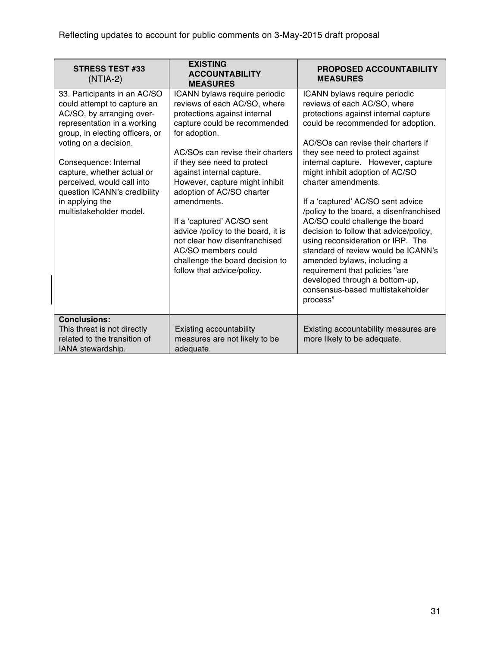| <b>STRESS TEST #33</b><br>$(NTIA-2)$                                                                                                                                                                                                                                                                                                                   | <b>EXISTING</b><br><b>ACCOUNTABILITY</b><br><b>MEASURES</b>                                                                                                                                                                                                                                                                                                                                                                                                                                                               | <b>PROPOSED ACCOUNTABILITY</b><br><b>MEASURES</b>                                                                                                                                                                                                                                                                                                                                                                                                                                                                                                                                                                                                                                                                  |
|--------------------------------------------------------------------------------------------------------------------------------------------------------------------------------------------------------------------------------------------------------------------------------------------------------------------------------------------------------|---------------------------------------------------------------------------------------------------------------------------------------------------------------------------------------------------------------------------------------------------------------------------------------------------------------------------------------------------------------------------------------------------------------------------------------------------------------------------------------------------------------------------|--------------------------------------------------------------------------------------------------------------------------------------------------------------------------------------------------------------------------------------------------------------------------------------------------------------------------------------------------------------------------------------------------------------------------------------------------------------------------------------------------------------------------------------------------------------------------------------------------------------------------------------------------------------------------------------------------------------------|
| 33. Participants in an AC/SO<br>could attempt to capture an<br>AC/SO, by arranging over-<br>representation in a working<br>group, in electing officers, or<br>voting on a decision.<br>Consequence: Internal<br>capture, whether actual or<br>perceived, would call into<br>question ICANN's credibility<br>in applying the<br>multistakeholder model. | ICANN bylaws require periodic<br>reviews of each AC/SO, where<br>protections against internal<br>capture could be recommended<br>for adoption.<br>AC/SOs can revise their charters<br>if they see need to protect<br>against internal capture.<br>However, capture might inhibit<br>adoption of AC/SO charter<br>amendments.<br>If a 'captured' AC/SO sent<br>advice /policy to the board, it is<br>not clear how disenfranchised<br>AC/SO members could<br>challenge the board decision to<br>follow that advice/policy. | ICANN bylaws require periodic<br>reviews of each AC/SO, where<br>protections against internal capture<br>could be recommended for adoption.<br>AC/SOs can revise their charters if<br>they see need to protect against<br>internal capture. However, capture<br>might inhibit adoption of AC/SO<br>charter amendments.<br>If a 'captured' AC/SO sent advice<br>/policy to the board, a disenfranchised<br>AC/SO could challenge the board<br>decision to follow that advice/policy,<br>using reconsideration or IRP. The<br>standard of review would be ICANN's<br>amended bylaws, including a<br>requirement that policies "are<br>developed through a bottom-up,<br>consensus-based multistakeholder<br>process" |
| <b>Conclusions:</b><br>This threat is not directly<br>related to the transition of<br>IANA stewardship.                                                                                                                                                                                                                                                | Existing accountability<br>measures are not likely to be<br>adequate.                                                                                                                                                                                                                                                                                                                                                                                                                                                     | Existing accountability measures are<br>more likely to be adequate.                                                                                                                                                                                                                                                                                                                                                                                                                                                                                                                                                                                                                                                |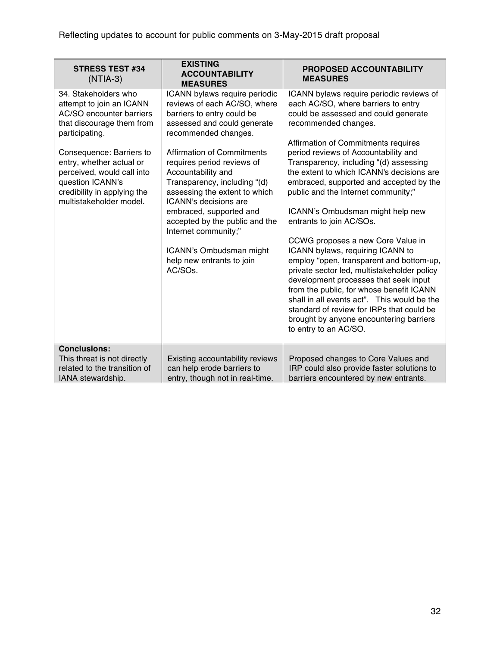| <b>STRESS TEST #34</b><br>$(NTIA-3)$                                                                                                                             | <b>EXISTING</b><br><b>ACCOUNTABILITY</b><br><b>MEASURES</b>                                                                                                                                                                                                                                                                             | <b>PROPOSED ACCOUNTABILITY</b><br><b>MEASURES</b>                                                                                                                                                                                                                                                                                                                                                                                                                                                                                                                                                                                                                                                      |
|------------------------------------------------------------------------------------------------------------------------------------------------------------------|-----------------------------------------------------------------------------------------------------------------------------------------------------------------------------------------------------------------------------------------------------------------------------------------------------------------------------------------|--------------------------------------------------------------------------------------------------------------------------------------------------------------------------------------------------------------------------------------------------------------------------------------------------------------------------------------------------------------------------------------------------------------------------------------------------------------------------------------------------------------------------------------------------------------------------------------------------------------------------------------------------------------------------------------------------------|
| 34. Stakeholders who<br>attempt to join an ICANN<br>AC/SO encounter barriers<br>that discourage them from<br>participating.                                      | ICANN bylaws require periodic<br>reviews of each AC/SO, where<br>barriers to entry could be<br>assessed and could generate<br>recommended changes.                                                                                                                                                                                      | ICANN bylaws require periodic reviews of<br>each AC/SO, where barriers to entry<br>could be assessed and could generate<br>recommended changes.<br>Affirmation of Commitments requires                                                                                                                                                                                                                                                                                                                                                                                                                                                                                                                 |
| Consequence: Barriers to<br>entry, whether actual or<br>perceived, would call into<br>question ICANN's<br>credibility in applying the<br>multistakeholder model. | <b>Affirmation of Commitments</b><br>requires period reviews of<br>Accountability and<br>Transparency, including "(d)<br>assessing the extent to which<br>ICANN's decisions are<br>embraced, supported and<br>accepted by the public and the<br>Internet community;"<br>ICANN's Ombudsman might<br>help new entrants to join<br>AC/SOs. | period reviews of Accountability and<br>Transparency, including "(d) assessing<br>the extent to which ICANN's decisions are<br>embraced, supported and accepted by the<br>public and the Internet community;"<br>ICANN's Ombudsman might help new<br>entrants to join AC/SOs.<br>CCWG proposes a new Core Value in<br>ICANN bylaws, requiring ICANN to<br>employ "open, transparent and bottom-up,<br>private sector led, multistakeholder policy<br>development processes that seek input<br>from the public, for whose benefit ICANN<br>shall in all events act". This would be the<br>standard of review for IRPs that could be<br>brought by anyone encountering barriers<br>to entry to an AC/SO. |
| <b>Conclusions:</b><br>This threat is not directly<br>related to the transition of<br>IANA stewardship.                                                          | Existing accountability reviews<br>can help erode barriers to<br>entry, though not in real-time.                                                                                                                                                                                                                                        | Proposed changes to Core Values and<br>IRP could also provide faster solutions to<br>barriers encountered by new entrants.                                                                                                                                                                                                                                                                                                                                                                                                                                                                                                                                                                             |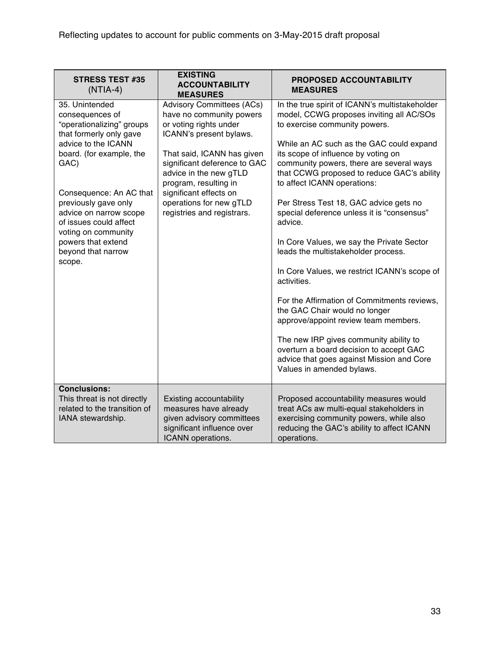| <b>STRESS TEST #35</b><br>$(NTIA-4)$                                                                                                                                             | <b>EXISTING</b><br><b>ACCOUNTABILITY</b><br><b>MEASURES</b>                                                                                                                                                                        | <b>PROPOSED ACCOUNTABILITY</b><br><b>MEASURES</b>                                                                                                                                                                                                                                                                                                                                                                                                               |
|----------------------------------------------------------------------------------------------------------------------------------------------------------------------------------|------------------------------------------------------------------------------------------------------------------------------------------------------------------------------------------------------------------------------------|-----------------------------------------------------------------------------------------------------------------------------------------------------------------------------------------------------------------------------------------------------------------------------------------------------------------------------------------------------------------------------------------------------------------------------------------------------------------|
| 35. Unintended<br>consequences of<br>"operationalizing" groups<br>that formerly only gave<br>advice to the ICANN<br>board. (for example, the<br>GAC)                             | <b>Advisory Committees (ACs)</b><br>have no community powers<br>or voting rights under<br>ICANN's present bylaws.<br>That said, ICANN has given<br>significant deference to GAC<br>advice in the new gTLD<br>program, resulting in | In the true spirit of ICANN's multistakeholder<br>model, CCWG proposes inviting all AC/SOs<br>to exercise community powers.<br>While an AC such as the GAC could expand<br>its scope of influence by voting on<br>community powers, there are several ways<br>that CCWG proposed to reduce GAC's ability<br>to affect ICANN operations:                                                                                                                         |
| Consequence: An AC that<br>previously gave only<br>advice on narrow scope<br>of issues could affect<br>voting on community<br>powers that extend<br>beyond that narrow<br>scope. | significant effects on<br>operations for new gTLD<br>registries and registrars.                                                                                                                                                    | Per Stress Test 18, GAC advice gets no<br>special deference unless it is "consensus"<br>advice.<br>In Core Values, we say the Private Sector<br>leads the multistakeholder process.<br>In Core Values, we restrict ICANN's scope of<br>activities.<br>For the Affirmation of Commitments reviews,<br>the GAC Chair would no longer<br>approve/appoint review team members.<br>The new IRP gives community ability to<br>overturn a board decision to accept GAC |
|                                                                                                                                                                                  |                                                                                                                                                                                                                                    | advice that goes against Mission and Core<br>Values in amended bylaws.                                                                                                                                                                                                                                                                                                                                                                                          |
| <b>Conclusions:</b><br>This threat is not directly<br>related to the transition of<br>IANA stewardship.                                                                          | <b>Existing accountability</b><br>measures have already<br>given advisory committees<br>significant influence over<br>ICANN operations.                                                                                            | Proposed accountability measures would<br>treat ACs aw multi-equal stakeholders in<br>exercising community powers, while also<br>reducing the GAC's ability to affect ICANN<br>operations.                                                                                                                                                                                                                                                                      |